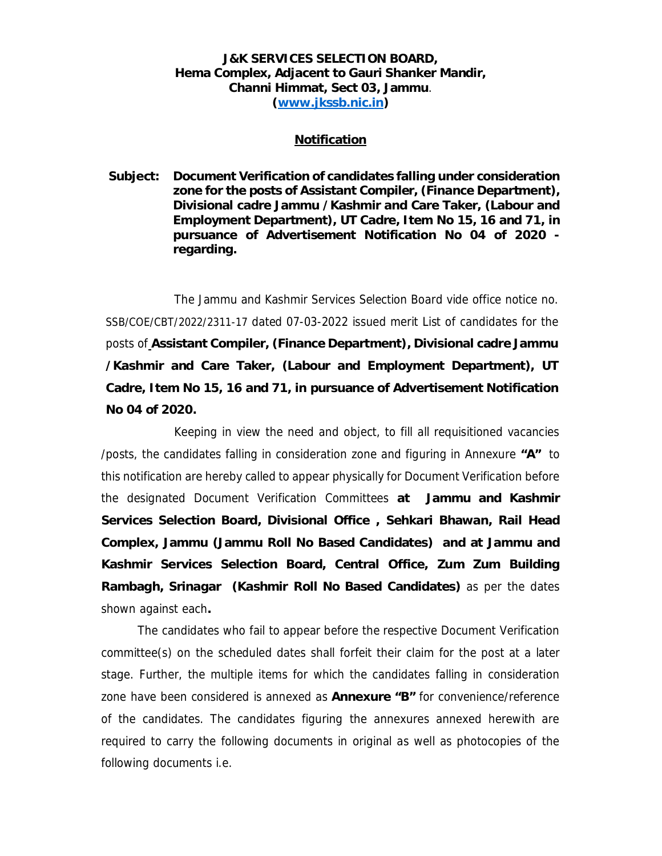## **J&K SERVICES SELECTION BOARD, Hema Complex, Adjacent to Gauri Shanker Mandir, Channi Himmat, Sect 03, Jammu**. **(www.jkssb.nic.in)**

## **Notification**

**Subject: Document Verification of candidates falling under consideration zone for the posts of Assistant Compiler, (Finance Department), Divisional cadre Jammu /Kashmir and Care Taker, (Labour and Employment Department), UT Cadre, Item No 15, 16 and 71, in pursuance of Advertisement Notification No 04 of 2020 regarding.** 

The Jammu and Kashmir Services Selection Board vide office notice no. SSB/COE/CBT/2022/2311-17 dated 07-03-2022 issued merit List of candidates for the posts of **Assistant Compiler, (Finance Department), Divisional cadre Jammu /Kashmir and Care Taker, (Labour and Employment Department), UT Cadre, Item No 15, 16 and 71, in pursuance of Advertisement Notification No 04 of 2020.** 

Keeping in view the need and object, to fill all requisitioned vacancies /posts, the candidates falling in consideration zone and figuring in Annexure **"A"** to this notification are hereby called to appear physically for Document Verification before the designated Document Verification Committees **at Jammu and Kashmir Services Selection Board, Divisional Office , Sehkari Bhawan, Rail Head Complex, Jammu (Jammu Roll No Based Candidates) and at Jammu and Kashmir Services Selection Board, Central Office, Zum Zum Building Rambagh, Srinagar (Kashmir Roll No Based Candidates)** as per the dates shown against each**.** 

The candidates who fail to appear before the respective Document Verification committee(s) on the scheduled dates shall forfeit their claim for the post at a later stage. Further, the multiple items for which the candidates falling in consideration zone have been considered is annexed as **Annexure "B"** for convenience/reference of the candidates. The candidates figuring the annexures annexed herewith are required to carry the following documents in original as well as photocopies of the following documents i.e.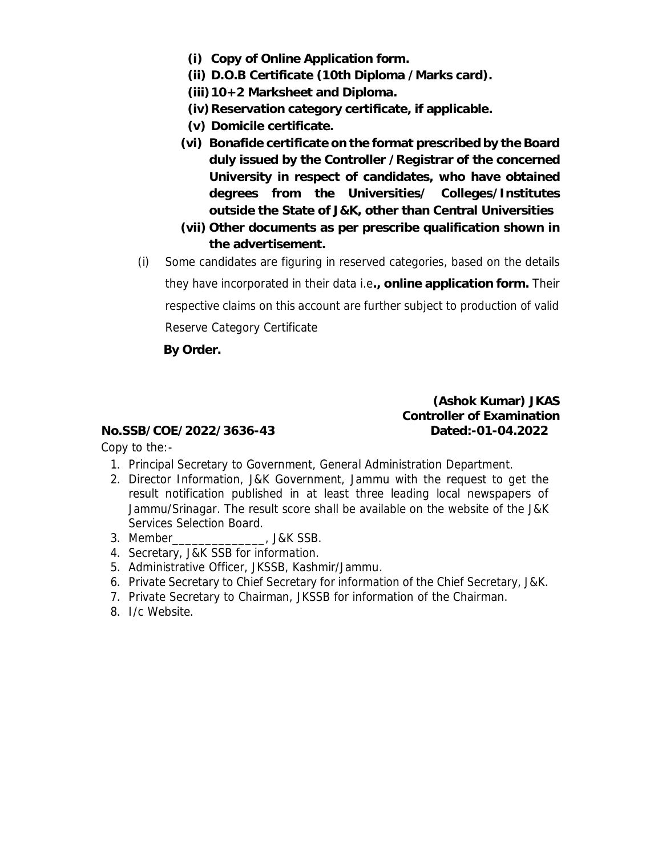- **(i) Copy of Online Application form.**
- **(ii) D.O.B Certificate (10th Diploma /Marks card).**
- **(iii)10+2 Marksheet and Diploma.**
- **(iv)Reservation category certificate, if applicable.**
- **(v) Domicile certificate.**
- **(vi) Bonafide certificate on the format prescribed by the Board duly issued by the Controller /Registrar of the concerned University in respect of candidates, who have obtained degrees from the Universities/ Colleges/Institutes outside the State of J&K, other than Central Universities**
- **(vii) Other documents as per prescribe qualification shown in the advertisement.**
- (i) Some candidates are figuring in reserved categories, based on the details they have incorporated in their data i.e**., online application form.** Their respective claims on this account are further subject to production of valid Reserve Category Certificate

**By Order.** 

**(Ashok Kumar) JKAS Controller of Examination No.SSB/COE/2022/3636-43 Dated:-01-04.2022** 

Copy to the:-

- 1. Principal Secretary to Government, General Administration Department.
- 2. Director Information, J&K Government, Jammu with the request to get the result notification published in at least three leading local newspapers of Jammu/Srinagar. The result score shall be available on the website of the J&K Services Selection Board.
- 3. Member\_\_\_\_\_\_\_\_\_\_\_\_\_\_, J&K SSB.
- 4. Secretary, J&K SSB for information.
- 5. Administrative Officer, JKSSB, Kashmir/Jammu.
- 6. Private Secretary to Chief Secretary for information of the Chief Secretary, J&K.
- 7. Private Secretary to Chairman, JKSSB for information of the Chairman.
- 8. I/c Website.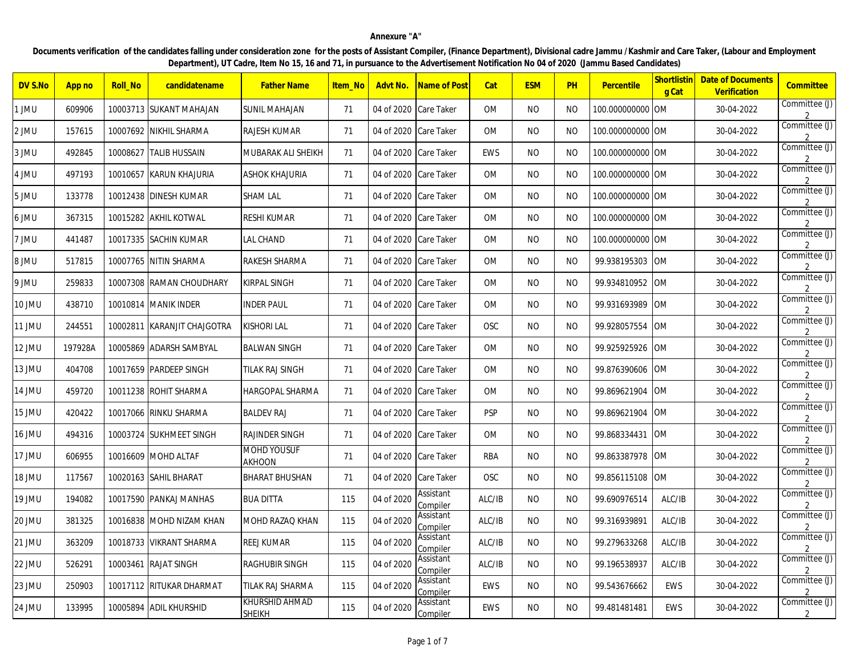## **Annexure "A"**

Documents verification of the candidates falling under consideration zone for the posts of Assistant Compiler, (Finance Department), Divisional cadre Jammu /Kashmir and Care Taker, (Labour and Employment **Department), UT Cadre, Item No 15, 16 and 71, in pursuance to the Advertisement Notification No 04 of 2020 (Jammu Based Candidates)**

| DV S.No | App no  | Roll_No  | candidatename               | <b>Father Name</b>                  | Item No | Advt No.   | <b>Name of Post</b>          | Cat        | <b>ESM</b>     | <b>PH</b>      | Percentile       | Shortlistin<br>g Cat | <b>Date of Documents</b><br>Verification | Committee                       |
|---------|---------|----------|-----------------------------|-------------------------------------|---------|------------|------------------------------|------------|----------------|----------------|------------------|----------------------|------------------------------------------|---------------------------------|
| 1 JMU   | 609906  |          | 10003713 SUKANT MAHAJAN     | <b>SUNIL MAHAJAN</b>                | 71      | 04 of 2020 | Care Taker                   | <b>OM</b>  | <b>NO</b>      | <b>NO</b>      | 100.000000000 OM |                      | 30-04-2022                               | Committee (J)                   |
| 2 JMU   | 157615  |          | 10007692 NIKHIL SHARMA      | RAJESH KUMAR                        | 71      | 04 of 2020 | Care Taker                   | 0M         | N <sub>O</sub> | N <sub>O</sub> | 100.000000000 OM |                      | 30-04-2022                               | Committee (J)                   |
| 3 JMU   | 492845  | 10008627 | <b>TALIB HUSSAIN</b>        | MUBARAK ALI SHEIKH                  | 71      | 04 of 2020 | Care Taker                   | EWS        | NO.            | <b>NO</b>      | 100.000000000 OM |                      | 30-04-2022                               | Committee (J)                   |
| 4 JMU   | 497193  |          | 10010657 KARUN KHAJURIA     | <b>ASHOK KHAJURIA</b>               | 71      | 04 of 2020 | <b>Care Taker</b>            | <b>OM</b>  | NO.            | NO             | 100.000000000 OM |                      | 30-04-2022                               | Committee (J)<br>2              |
| 5 JMU   | 133778  |          | 10012438  DINESH KUMAR      | <b>SHAM LAL</b>                     | 71      | 04 of 2020 | Care Taker                   | <b>OM</b>  | NO.            | NO             | 100.000000000 OM |                      | 30-04-2022                               | Committee (J)                   |
| 6 JMU   | 367315  |          | 10015282 AKHIL KOTWAL       | <b>RESHI KUMAR</b>                  | 71      | 04 of 2020 | <b>Care Taker</b>            | <b>OM</b>  | NO.            | NO             | 100.000000000 OM |                      | 30-04-2022                               | Committee (J)                   |
| 7 JMU   | 441487  |          | 10017335  SACHIN KUMAR      | <b>LAL CHAND</b>                    | 71      | 04 of 2020 | Care Taker                   | <b>OM</b>  | NO.            | NO.            | 100.000000000 OM |                      | 30-04-2022                               | Committee (J)                   |
| 8 JMU   | 517815  |          | 10007765 NITIN SHARMA       | RAKESH SHARMA                       | 71      | 04 of 2020 | <b>Care Taker</b>            | <b>OM</b>  | <b>NO</b>      | NO.            | 99.938195303 OM  |                      | 30-04-2022                               | Committee (J)                   |
| 9 JMU   | 259833  |          | 10007308 RAMAN CHOUDHARY    | <b>KIRPAL SINGH</b>                 | 71      | 04 of 2020 | Care Taker                   | <b>OM</b>  | <b>NO</b>      | NO.            | 99.934810952     | <b>OM</b>            | 30-04-2022                               | Committee (J)                   |
| 10 JMU  | 438710  |          | 10010814 MANIK INDER        | <b>INDER PAUL</b>                   | 71      | 04 of 2020 | <b>Care Taker</b>            | <b>OM</b>  | <b>NO</b>      | NO.            | 99.931693989     | <b>OM</b>            | 30-04-2022                               | Committee (J)                   |
| 11 JMU  | 244551  |          | 10002811 KARANJIT CHAJGOTRA | <b>KISHORI LAL</b>                  | 71      | 04 of 2020 | Care Taker                   | <b>OSC</b> | NO.            | NO.            | 99.928057554     | ОM                   | 30-04-2022                               | Committee (J)                   |
| 12 JMU  | 197928A |          | 10005869 ADARSH SAMBYAL     | <b>BALWAN SINGH</b>                 | 71      | 04 of 2020 | Care Taker                   | <b>OM</b>  | NO.            | NO.            | 99.925925926     | 0M                   | 30-04-2022                               | Committee (J)                   |
| 13 JMU  | 404708  |          | 10017659 PARDEEP SINGH      | TILAK RAJ SINGH                     | 71      | 04 of 2020 | Care Taker                   | <b>OM</b>  | NO.            | NO.            | 99.876390606     | 0M                   | 30-04-2022                               | Committee (J)                   |
| 14 JMU  | 459720  |          | 10011238 ROHIT SHARMA       | <b>HARGOPAL SHARMA</b>              | 71      | 04 of 2020 | <b>Care Taker</b>            | <b>OM</b>  | <b>NO</b>      | NO             | 99.869621904     | <b>OM</b>            | 30-04-2022                               | Committee (J)                   |
| 15 JMU  | 420422  |          | 10017066 RINKU SHARMA       | <b>BALDEV RAJ</b>                   | 71      | 04 of 2020 | Care Taker                   | <b>PSP</b> | <b>NO</b>      | <b>NO</b>      | 99.869621904     | 0M                   | 30-04-2022                               | Committee (J)                   |
| 16 JMU  | 494316  |          | 10003724 SUKHMEET SINGH     | <b>RAJINDER SINGH</b>               | 71      | 04 of 2020 | <b>Care Taker</b>            | <b>OM</b>  | <b>NO</b>      | N <sub>O</sub> | 99.868334431     | <b>OM</b>            | 30-04-2022                               | Committee (J)                   |
| 17 JMU  | 606955  |          | 10016609 MOHD ALTAF         | <b>MOHD YOUSUF</b><br><b>AKHOON</b> | 71      | 04 of 2020 | Care Taker                   | <b>RBA</b> | NO.            | NO.            | 99.863387978     | 0M                   | 30-04-2022                               | Committee (J)                   |
| 18 JMU  | 117567  |          | 10020163  SAHIL BHARAT      | <b>BHARAT BHUSHAN</b>               | 71      | 04 of 2020 | <b>Care Taker</b>            | <b>OSC</b> | <b>NO</b>      | NO.            | 99.856115108     | 0M                   | 30-04-2022                               | Committee (J)                   |
| 19 JMU  | 194082  |          | 10017590 PANKAJ MANHAS      | <b>BUA DITTA</b>                    | 115     | 04 of 2020 | Assistant<br>Compiler        | ALC/IB     | NO             | <b>NO</b>      | 99.690976514     | ALC/IB               | 30-04-2022                               | Committee (J)                   |
| 20 JMU  | 381325  |          | 10016838   MOHD NIZAM KHAN  | MOHD RAZAQ KHAN                     | 115     | 04 of 2020 | Assistant<br>Compiler        | ALC/IB     | NO.            | NO.            | 99.316939891     | ALC/IB               | 30-04-2022                               | Committee (J)<br>2              |
| 21 JMU  | 363209  |          | 10018733 VIKRANT SHARMA     | <b>REEJ KUMAR</b>                   | 115     | 04 of 2020 | <b>Assistant</b><br>Compiler | ALC/IB     | NO.            | NO.            | 99.279633268     | ALC/IB               | 30-04-2022                               | Committee (J)<br>2              |
| 22 JMU  | 526291  |          | 10003461 RAJAT SINGH        | <b>RAGHUBIR SINGH</b>               | 115     | 04 of 2020 | Assistant<br>Compiler        | ALC/IB     | NO.            | NO.            | 99.196538937     | ALC/IB               | 30-04-2022                               | Committee (J)<br>2              |
| 23 JMU  | 250903  |          | 10017112 RITUKAR DHARMAT    | TILAK RAJ SHARMA                    | 115     | 04 of 2020 | Assistant<br>Compiler        | EWS        | NO.            | NO.            | 99.543676662     | EWS                  | 30-04-2022                               | Committee (J)<br>$\mathcal{L}$  |
| 24 JMU  | 133995  |          | 10005894 ADIL KHURSHID      | KHURSHID AHMAD<br><b>SHEIKH</b>     | 115     | 04 of 2020 | Assistant<br>Compiler        | EWS        | NO.            | NO.            | 99.481481481     | <b>EWS</b>           | 30-04-2022                               | Committee (J)<br>$\overline{2}$ |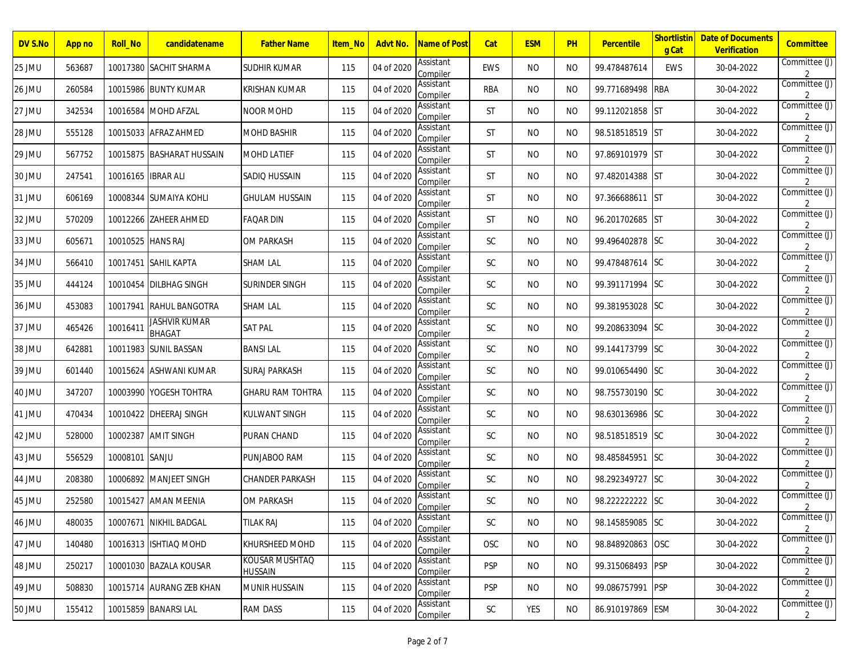| DV S.No | App no | <b>Roll_No</b> | candidatename                         | <b>Father Name</b>               | <u>Item_No</u> | Advt No.   | Name of Post          | Cat           | <b>ESM</b> | <b>PH</b> | <b>Percentile</b> | <mark>Shortlistir</mark><br>g Cat | <b>Date of Documents</b><br>Verification | Committee                       |
|---------|--------|----------------|---------------------------------------|----------------------------------|----------------|------------|-----------------------|---------------|------------|-----------|-------------------|-----------------------------------|------------------------------------------|---------------------------------|
| 25 JMU  | 563687 |                | 10017380 SACHIT SHARMA                | SUDHIR KUMAR                     | 115            | 04 of 2020 | Assistant<br>Compiler | EWS           | <b>NO</b>  | NO.       | 99.478487614      | EWS                               | 30-04-2022                               | Committee (J)<br>2              |
| 26 JMU  | 260584 | 10015986       | <b>BUNTY KUMAR</b>                    | <b>KRISHAN KUMAR</b>             | 115            | 04 of 2020 | Assistant<br>Compiler | RBA           | <b>NO</b>  | NO.       | 99.771689498      | <b>RBA</b>                        | 30-04-2022                               | Committee (J)                   |
| 27 JMU  | 342534 | 10016584       | <b>MOHD AFZAL</b>                     | <b>NOOR MOHD</b>                 | 115            | 04 of 2020 | Assistant<br>Compiler | <b>ST</b>     | <b>NO</b>  | NO.       | 99.112021858 ST   |                                   | 30-04-2022                               | Committee (J)                   |
| 28 JMU  | 555128 |                | 10015033 AFRAZ AHMED                  | <b>MOHD BASHIR</b>               | 115            | 04 of 2020 | Assistant<br>Compiler | <b>ST</b>     | NO.        | NO.       | 98.518518519 ST   |                                   | 30-04-2022                               | Committee (J)<br>$\mathcal{P}$  |
| 29 JMU  | 567752 | 10015875       | <b>BASHARAT HUSSAIN</b>               | MOHD LATIEF                      | 115            | 04 of 2020 | Assistant<br>Compiler | <b>ST</b>     | NO.        | NO.       | 97.869101979 ST   |                                   | 30-04-2022                               | Committee (J)                   |
| 30 JMU  | 247541 | 10016165       | <b>IBRAR ALI</b>                      | SADIO HUSSAIN                    | 115            | 04 of 2020 | Assistant<br>Compiler | <b>ST</b>     | <b>NO</b>  | NO.       | 97.482014388 ST   |                                   | 30-04-2022                               | Committee (J)                   |
| 31 JMU  | 606169 |                | 10008344 SUMAIYA KOHLI                | <b>GHULAM HUSSAIN</b>            | 115            | 04 of 2020 | Assistant<br>Compiler | <b>ST</b>     | NO.        | NO.       | 97.366688611      | <b>IST</b>                        | 30-04-2022                               | Committee (J)                   |
| 32 JMU  | 570209 | 10012266       | ZAHEER AHMED                          | <b>FAQAR DIN</b>                 | 115            | 04 of 2020 | Assistant<br>Compiler | <b>ST</b>     | NO.        | NO.       | 96.201702685 ST   |                                   | 30-04-2022                               | Committee (J)                   |
| 33 JMU  | 605671 | 10010525       | <b>HANS RAJ</b>                       | <b>OM PARKASH</b>                | 115            | 04 of 2020 | Assistant<br>Compiler | <b>SC</b>     | <b>NO</b>  | NO.       | 99.496402878 SC   |                                   | 30-04-2022                               | Committee (J)                   |
| 34 JMU  | 566410 |                | 10017451 ISAHIL KAPTA                 | <b>SHAM LAL</b>                  | 115            | 04 of 2020 | Assistant<br>Compiler | <b>SC</b>     | NO.        | NO.       | 99.478487614 SC   |                                   | 30-04-2022                               | Committee (J)                   |
| 35 JMU  | 444124 | 10010454       | <b>DILBHAG SINGH</b>                  | SURINDER SINGH                   | 115            | 04 of 2020 | Assistant<br>Compiler | <b>SC</b>     | <b>NO</b>  | NO.       | 99.391171994 SC   |                                   | 30-04-2022                               | Committee (J)<br>$\mathcal{P}$  |
| 36 JMU  | 453083 | 10017941       | <b>RAHUL BANGOTRA</b>                 | <b>SHAM LAL</b>                  | 115            | 04 of 2020 | Assistant<br>Compiler | <b>SC</b>     | <b>NO</b>  | NO.       | 99.381953028 SC   |                                   | 30-04-2022                               | Committee (J)                   |
| 37 JMU  | 465426 | 10016411       | <b>JASHVIR KUMAR</b><br><b>BHAGAT</b> | <b>SAT PAL</b>                   | 115            | 04 of 2020 | Assistant<br>Compiler | <b>SC</b>     | <b>NO</b>  | NO.       | 99.208633094 SC   |                                   | 30-04-2022                               | Committee (J)                   |
| 38 JMU  | 642881 | 10011983       | <b>SUNIL BASSAN</b>                   | <b>BANSILAL</b>                  | 115            | 04 of 2020 | Assistant<br>Compiler | <b>SC</b>     | NO.        | NO.       | 99.144173799 SC   |                                   | 30-04-2022                               | Committee (J)                   |
| 39 JMU  | 601440 | 10015624       | ASHWANI KUMAR                         | <b>SURAJ PARKASH</b>             | 115            | 04 of 2020 | Assistant<br>Compiler | <b>SC</b>     | NO.        | NO.       | 99.010654490 SC   |                                   | 30-04-2022                               | Committee (J)                   |
| 40 JMU  | 347207 |                | 10003990 YOGESH TOHTRA                | <b>GHARU RAM TOHTRA</b>          | 115            | 04 of 2020 | Assistant<br>Compiler | <b>SC</b>     | <b>NO</b>  | NO.       | 98.755730190 SC   |                                   | 30-04-2022                               | Committee (J)                   |
| 41 JMU  | 470434 | 10010422       | <b>DHEERAJ SINGH</b>                  | KULWANT SINGH                    | 115            | 04 of 2020 | Assistant<br>Compiler | <b>SC</b>     | NO.        | NO.       | 98.630136986 SC   |                                   | 30-04-2022                               | Committee (J)                   |
| 42 JMU  | 528000 | 10002387       | <b>AMIT SINGH</b>                     | PURAN CHAND                      | 115            | 04 of 2020 | Assistant<br>Compiler | <b>SC</b>     | NO.        | NO.       | 98.518518519 SC   |                                   | 30-04-2022                               | Committee (J)                   |
| 43 JMU  | 556529 | 10008101 SANJU |                                       | PUNJABOO RAM                     | 115            | 04 of 2020 | Assistant<br>Compiler | <b>SC</b>     | <b>NO</b>  | NO.       | 98.485845951      | <b>SC</b>                         | 30-04-2022                               | Committee (J)                   |
| 44 JMU  | 208380 | 10006892       | MANJEET SINGH                         | <b>CHANDER PARKASH</b>           | 115            | 04 of 2020 | Assistant<br>Compiler | <b>SC</b>     | NO.        | NO.       | 98.292349727      | <b>SC</b>                         | 30-04-2022                               | Committee (J)                   |
| 45 JMU  | 252580 |                | 10015427   AMAN MEENIA                | OM PARKASH                       | 115            | 04 of 2020 | Assistant<br>Compiler | SC            | <b>NO</b>  | NO.       | 98.222222222 SC   |                                   | 30-04-2022                               | Committee (J)<br>2              |
| 46 JMU  | 480035 |                | 10007671 NIKHIL BADGAL                | TILAK RAJ                        | 115            | 04 of 2020 | Assistant<br>Compiler | <b>SC</b>     | <b>NO</b>  | <b>NO</b> | 98.145859085 SC   |                                   | 30-04-2022                               | Committee (J)<br>$\overline{2}$ |
| 47 JMU  | 140480 |                | 10016313 ISHTIAQ MOHD                 | KHURSHEED MOHD                   | 115            | 04 of 2020 | Assistant<br>Compiler | OSC           | <b>NO</b>  | NO.       | 98.848920863 OSC  |                                   | 30-04-2022                               | Committee (J)                   |
| 48 JMU  | 250217 |                | 10001030 BAZALA KOUSAR                | KOUSAR MUSHTAQ<br><b>HUSSAIN</b> | 115            | 04 of 2020 | Assistant<br>Compiler | <b>PSP</b>    | NO.        | <b>NO</b> | 99.315068493 PSP  |                                   | 30-04-2022                               | Committee (J)<br>2              |
| 49 JMU  | 508830 |                | 10015714 AURANG ZEB KHAN              | <b>MUNIR HUSSAIN</b>             | 115            | 04 of 2020 | Assistant<br>Compiler | <b>PSP</b>    | <b>NO</b>  | NO.       | 99.086757991 PSP  |                                   | 30-04-2022                               | Committee (J)<br>$\overline{2}$ |
| 50 JMU  | 155412 |                | 10015859 BANARSI LAL                  | RAM DASS                         | 115            | 04 of 2020 | Assistant<br>Compiler | $\mathsf{SC}$ | YES        | NO        | 86.910197869 ESM  |                                   | 30-04-2022                               | Committee (J)<br>$\overline{2}$ |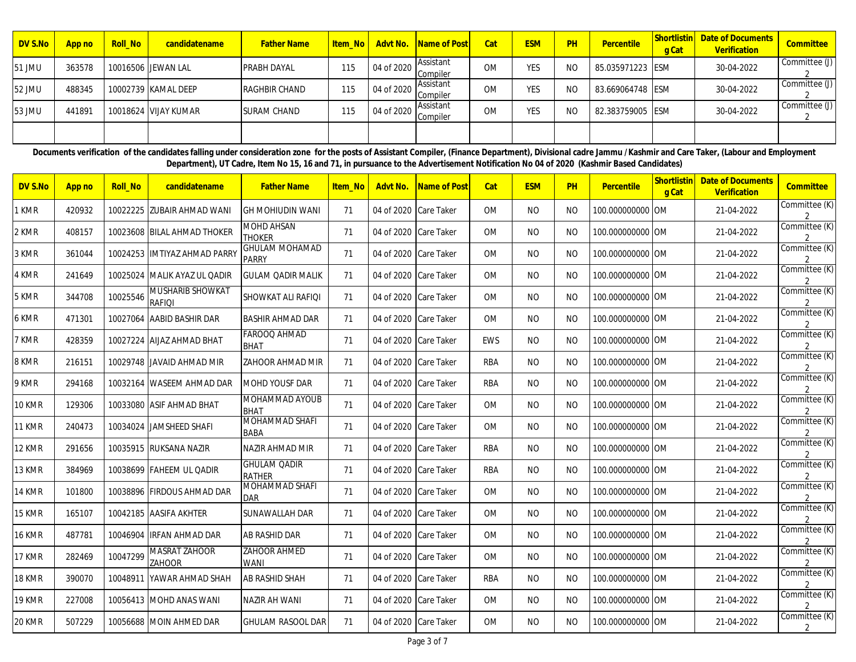| DV S.No | App no | <b>Roll No</b> | candidatename        | <b>Father Name</b>   | <b>Item No</b> |            | Advt No. Name of Post | Cat       | <b>ESM</b> | PH | Percentile       | <b>Shortlistin</b><br><b>g</b> Cat | <b>Date of Documents</b><br>Verification | <b>Committee</b> |
|---------|--------|----------------|----------------------|----------------------|----------------|------------|-----------------------|-----------|------------|----|------------------|------------------------------------|------------------------------------------|------------------|
| 51 JMU  | 363578 |                | 10016506 JEWAN LAL   | <b>PRABH DAYAL</b>   | 115            | 04 of 2020 | Assistant<br>Compiler | <b>OM</b> | <b>YES</b> | NO | 85.035971223 ESM |                                    | 30-04-2022                               | Committee (J)    |
| 52 JMU  | 488345 |                | 10002739 KAMAL DEEP  | <b>RAGHBIR CHAND</b> | 115            | 04 of 2020 | Assistant<br>Compiler | <b>OM</b> | <b>YES</b> | NO | 83.669064748 ESM |                                    | 30-04-2022                               | Committee (J)    |
| 53 JMU  | 441891 |                | 10018624 VIJAY KUMAR | <b>SURAM CHAND</b>   | 115            | 04 of 2020 | Assistant<br>Compiler | <b>OM</b> | <b>YES</b> | NO | 82.383759005 ESM |                                    | 30-04-2022                               | Committee (J)    |
|         |        |                |                      |                      |                |            |                       |           |            |    |                  |                                    |                                          |                  |

Documents verification of the candidates falling under consideration zone for the posts of Assistant Compiler, (Finance Department), Divisional cadre Jammu /Kashmir and Care Taker, (Labour and Employment **Department), UT Cadre, Item No 15, 16 and 71, in pursuance to the Advertisement Notification No 04 of 2020 (Kashmir Based Candidates)**

| DV S.No       | App no | <b>Roll No</b> | candidatename                            | <b>Father Name</b>                    | Item No | Advt No.              | Name of Post | Cat        | <b>ESM</b>     | PH        | Percentile       | Shortlistin<br>g Cat | <b>Date of Documents</b><br>Verification | Committee                       |
|---------------|--------|----------------|------------------------------------------|---------------------------------------|---------|-----------------------|--------------|------------|----------------|-----------|------------------|----------------------|------------------------------------------|---------------------------------|
| 1 KMR         | 420932 |                | 10022225 ZUBAIR AHMAD WANI               | <b>GH MOHIUDIN WANI</b>               | 71      | 04 of 2020 Care Taker |              | <b>OM</b>  | <b>NO</b>      | <b>NO</b> | 100.000000000 OM |                      | 21-04-2022                               | Committee (K)                   |
| 2 KMR         | 408157 |                | 10023608 BILAL AHMAD THOKER              | <b>MOHD AHSAN</b><br><b>THOKER</b>    | 71      | 04 of 2020 Care Taker |              | <b>OM</b>  | <b>NO</b>      | NO.       | 100.000000000 OM |                      | 21-04-2022                               | Committee (K)<br>2              |
| 3 KMR         | 361044 |                | 10024253 IMTIYAZ AHMAD PARRY             | <b>GHULAM MOHAMAD</b><br><b>PARRY</b> | 71      | 04 of 2020 Care Taker |              | <b>OM</b>  | <b>NO</b>      | <b>NO</b> | 100.000000000 OM |                      | 21-04-2022                               | Committee (K)                   |
| 4 KMR         | 241649 | 10025024       | MALIK AYAZ UL QADIR                      | <b>GULAM QADIR MALIK</b>              | 71      | 04 of 2020 Care Taker |              | <b>OM</b>  | <b>NO</b>      | <b>NO</b> | 100.000000000 OM |                      | 21-04-2022                               | Committee (K)                   |
| 5 KMR         | 344708 | 10025546       | <b>MUSHARIB SHOWKAT</b><br><b>RAFIOI</b> | SHOWKAT ALI RAFIQI                    | 71      | 04 of 2020 Care Taker |              | <b>OM</b>  | <b>NO</b>      | <b>NO</b> | 100.000000000 OM |                      | 21-04-2022                               | Committee (K)                   |
| 6 KMR         | 471301 | 10027064       | AABID BASHIR DAR                         | <b>BASHIR AHMAD DAR</b>               | 71      | 04 of 2020 Care Taker |              | <b>OM</b>  | <b>NO</b>      | <b>NO</b> | 100.000000000 OM |                      | 21-04-2022                               | Committee (K)                   |
| 7 KMR         | 428359 |                | 10027224 AIJAZ AHMAD BHAT                | FAROOQ AHMAD<br><b>BHAT</b>           | 71      | 04 of 2020 Care Taker |              | EWS        | <b>NO</b>      | <b>NO</b> | 100.000000000 OM |                      | 21-04-2022                               | Committee (K)<br>2              |
| 8 KMR         | 216151 |                | 10029748 JAVAID AHMAD MIR                | ZAHOOR AHMAD MIR                      | 71      | 04 of 2020 Care Taker |              | <b>RBA</b> | <b>NO</b>      | NO.       | 100.000000000 OM |                      | 21-04-2022                               | Committee (K)                   |
| 9 KMR         | 294168 |                | 10032164 IWASEEM AHMAD DAR               | <b>MOHD YOUSF DAR</b>                 | 71      | 04 of 2020 Care Taker |              | <b>RBA</b> | N <sub>O</sub> | NO.       | 100.000000000 OM |                      | 21-04-2022                               | Committee (K)                   |
| 10 KMR        | 129306 |                | 10033080 ASIF AHMAD BHAT                 | MOHAMMAD AYOUB<br><b>BHAT</b>         | 71      | 04 of 2020 Care Taker |              | <b>OM</b>  | <b>NO</b>      | <b>NO</b> | 100.000000000 OM |                      | 21-04-2022                               | Committee (K)                   |
| 11 KMR        | 240473 |                | 10034024 JAMSHEED SHAFI                  | MOHAMMAD SHAFI<br>BABA                | 71      | 04 of 2020 Care Taker |              | <b>OM</b>  | <b>NO</b>      | NO.       | 100.000000000 OM |                      | 21-04-2022                               | Committee (K)<br>$\overline{2}$ |
| 12 KMR        | 291656 |                | 10035915 RUKSANA NAZIR                   | NAZIR AHMAD MIR                       | 71      | 04 of 2020 Care Taker |              | <b>RBA</b> | <b>NO</b>      | NO.       | 100.000000000 OM |                      | 21-04-2022                               | Committee (K)                   |
| 13 KMR        | 384969 |                | 10038699 FAHEEM UL QADIR                 | <b>GHULAM QADIR</b><br><b>RATHER</b>  | 71      | 04 of 2020 Care Taker |              | <b>RBA</b> | <b>NO</b>      | <b>NO</b> | 100.000000000 OM |                      | 21-04-2022                               | Committee (K)                   |
| <b>14 KMR</b> | 101800 |                | 10038896 FIRDOUS AHMAD DAR               | MOHAMMAD SHAFI<br><b>DAR</b>          | 71      | 04 of 2020 Care Taker |              | 0M         | <b>NO</b>      | NO.       | 100.000000000 OM |                      | 21-04-2022                               | Committee (K)                   |
| 15 KMR        | 165107 |                | 10042185 AASIFA AKHTER                   | SUNAWALLAH DAR                        | 71      | 04 of 2020 Care Taker |              | <b>OM</b>  | <b>NO</b>      | NO.       | 100.000000000 OM |                      | 21-04-2022                               | Committee (K)<br>$\overline{2}$ |
| 16 KMR        | 487781 | 10046904       | <b>IRFAN AHMAD DAR</b>                   | <b>AB RASHID DAR</b>                  | 71      | 04 of 2020 Care Taker |              | <b>OM</b>  | <b>NO</b>      | NO.       | 100.000000000 OM |                      | 21-04-2022                               | Committee (K)                   |
| 17 KMR        | 282469 | 10047299       | <b>MASRAT ZAHOOR</b><br><b>ZAHOOR</b>    | ZAHOOR AHMED<br>WANI                  | 71      | 04 of 2020 Care Taker |              | <b>OM</b>  | <b>NO</b>      | NO.       | 100.000000000 OM |                      | 21-04-2022                               | Committee (K)                   |
| 18 KMR        | 390070 | 10048911       | YAWAR AHMAD SHAH                         | <b>AB RASHID SHAH</b>                 | 71      | 04 of 2020 Care Taker |              | <b>RBA</b> | <b>NO</b>      | NO.       | 100.000000000 OM |                      | 21-04-2022                               | Committee (K)<br>$\overline{2}$ |
| 19 KMR        | 227008 |                | 10056413 MOHD ANAS WANI                  | NAZIR AH WANI                         | 71      | 04 of 2020 Care Taker |              | <b>OM</b>  | N <sub>O</sub> | NO.       | 100.000000000 OM |                      | 21-04-2022                               | Committee (K)<br>$\overline{2}$ |
| 20 KMR        | 507229 |                | 10056688 MOIN AHMED DAR                  | <b>GHULAM RASOOL DAR</b>              | 71      | 04 of 2020 Care Taker |              | <b>OM</b>  | <b>NO</b>      | <b>NO</b> | 100.000000000 OM |                      | 21-04-2022                               | Committee (K)                   |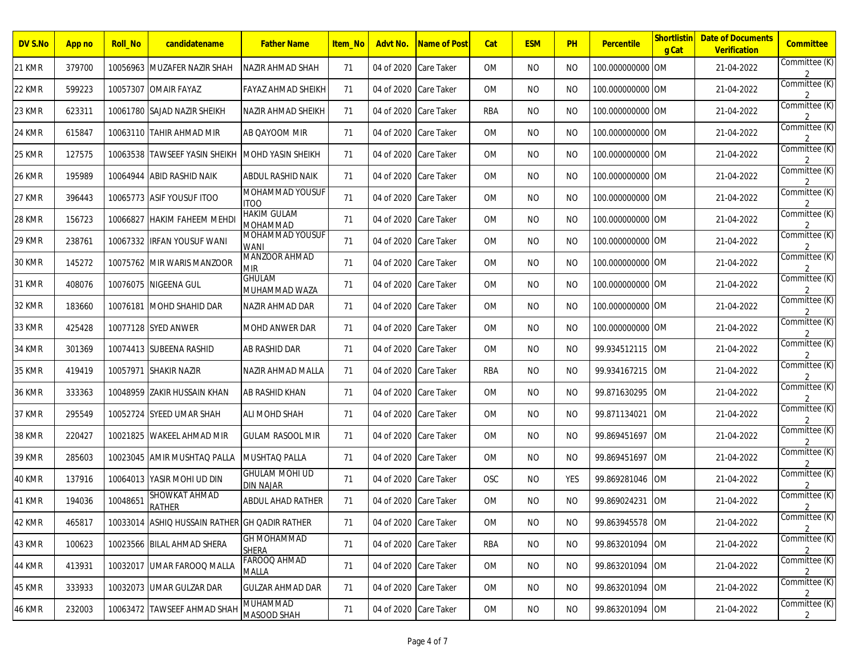| DV S.No       | App no | <b>Roll No</b> | candidatename                                 | <b>Father Name</b>                        | <b>Item No</b> | Advt No.              | <u>Name of Post</u> | Cat        | <b>ESM</b> | PH         | Percentile       | Shortlistin<br>g Cat | <b>Date of Documents</b><br>Verification | <b>Committee</b>                |
|---------------|--------|----------------|-----------------------------------------------|-------------------------------------------|----------------|-----------------------|---------------------|------------|------------|------------|------------------|----------------------|------------------------------------------|---------------------------------|
| 21 KMR        | 379700 | 10056963       | <b>IMUZAFER NAZIR SHAH</b>                    | NAZIR AHMAD SHAH                          | 71             | 04 of 2020            | Care Taker          | <b>OM</b>  | NO.        | NO.        | 100.000000000    | <b>OM</b>            | 21-04-2022                               | Committee (K)<br>2              |
| 22 KMR        | 599223 | 10057307       | <b>OMAIR FAYAZ</b>                            | FAYAZ AHMAD SHEIKH                        | 71             | 04 of 2020            | <b>Care Taker</b>   | OM         | NO.        | NO.        | 100.000000000 OM |                      | 21-04-2022                               | Committee (K)<br>$\mathfrak{D}$ |
| 23 KMR        | 623311 | 10061780       | SAJAD NAZIR SHEIKH                            | NAZIR AHMAD SHEIKH                        | 71             | 04 of 2020            | Care Taker          | <b>RBA</b> | NO.        | NO.        | 100.000000000 OM |                      | 21-04-2022                               | Committee (K)                   |
| 24 KMR        | 615847 |                | 10063110 TAHIR AHMAD MIR                      | AB QAYOOM MIR                             | 71             | 04 of 2020            | Care Taker          | <b>OM</b>  | NO.        | NO.        | 100.000000000 OM |                      | 21-04-2022                               | Committee (K)<br>2              |
| 25 KMR        | 127575 | 10063538       | <b>TAWSEEF YASIN SHEIKH</b>                   | <b>MOHD YASIN SHEIKH</b>                  | 71             | 04 of 2020            | Care Taker          | OM         | NO.        | NO.        | 100.000000000 OM |                      | 21-04-2022                               | Committee (K)<br>2              |
| <b>26 KMR</b> | 195989 | 10064944       | <b>ABID RASHID NAIK</b>                       | <b>ABDUL RASHID NAIK</b>                  | 71             | 04 of 2020            | Care Taker          | <b>OM</b>  | <b>NO</b>  | NO.        | 100.000000000 OM |                      | 21-04-2022                               | Committee (K)                   |
| 27 KMR        | 396443 |                | 10065773 ASIF YOUSUF ITOO                     | MOHAMMAD YOUSUF<br><b>ITOO</b>            | 71             | 04 of 2020            | Care Taker          | OM         | NO.        | NO.        | 100.000000000 OM |                      | 21-04-2022                               | Committee (K)<br>$\mathcal{P}$  |
| 28 KMR        | 156723 | 10066827       | <b>HAKIM FAHEEM MEHDI</b>                     | <b>HAKIM GULAM</b><br>MOHAMMAD            | 71             | 04 of 2020            | Care Taker          | OM         | NO.        | NO.        | 100.000000000 OM |                      | 21-04-2022                               | Committee (K)<br>2              |
| 29 KMR        | 238761 | 10067332       | <b>IRFAN YOUSUF WANI</b>                      | MOHAMMAD YOUSUF<br><b>WANI</b>            | 71             | 04 of 2020            | Care Taker          | OM         | <b>NO</b>  | NO.        | 100.000000000 OM |                      | 21-04-2022                               | Committee (K)                   |
| 30 KMR        | 145272 | 10075762       | MIR WARIS MANZOOR                             | MANZOOR AHMAD<br><b>MIR</b>               | 71             | 04 of 2020            | Care Taker          | OM         | NO.        | NO.        | 100.000000000 OM |                      | 21-04-2022                               | Committee (K)<br>$\mathcal{P}$  |
| 31 KMR        | 408076 | 10076075       | <b>NIGEENA GUL</b>                            | <b>GHULAM</b><br>MUHAMMAD WAZA            | 71             | 04 of 2020            | Care Taker          | OM         | NO.        | NO.        | 100.000000000 OM |                      | 21-04-2022                               | Committee (K)<br>2              |
| 32 KMR        | 183660 | 10076181       | <b>MOHD SHAHID DAR</b>                        | NAZIR AHMAD DAR                           | 71             | 04 of 2020            | Care Taker          | <b>OM</b>  | NO.        | NO.        | 100.000000000 OM |                      | 21-04-2022                               | Committee (K)                   |
| 33 KMR        | 425428 |                | 10077128 SYED ANWER                           | MOHD ANWER DAR                            | 71             | 04 of 2020            | <b>Care Taker</b>   | <b>OM</b>  | NO.        | NO.        | 100.000000000 OM |                      | 21-04-2022                               | Committee (K)<br>2              |
| 34 KMR        | 301369 | 10074413       | SUBEENA RASHID                                | AB RASHID DAR                             | 71             | 04 of 2020            | Care Taker          | OM         | NO.        | NO.        | 99.934512115 OM  |                      | 21-04-2022                               | Committee (K)<br>$\mathcal{P}$  |
| 35 KMR        | 419419 | 10057971       | <b>SHAKIR NAZIR</b>                           | NAZIR AHMAD MALLA                         | 71             | 04 of 2020            | Care Taker          | <b>RBA</b> | <b>NO</b>  | NO.        | 99.934167215     | <b>OM</b>            | 21-04-2022                               | Committee (K)                   |
| 36 KMR        | 333363 | 10048959       | IZAKIR HUSSAIN KHAN                           | AB RASHID KHAN                            | 71             | 04 of 2020            | <b>Care Taker</b>   | <b>OM</b>  | NO.        | NO.        | 99.871630295     | <b>OM</b>            | 21-04-2022                               | Committee (K)                   |
| 37 KMR        | 295549 | 10052724       | <b>SYEED UMAR SHAH</b>                        | ALI MOHD SHAH                             | 71             | 04 of 2020            | Care Taker          | OM         | NO.        | NO.        | 99.871134021     | <b>OM</b>            | 21-04-2022                               | Committee (K)<br>$\mathcal{P}$  |
| <b>38 KMR</b> | 220427 | 10021825       | <b>WAKEEL AHMAD MIR</b>                       | <b>GULAM RASOOL MIR</b>                   | 71             | 04 of 2020            | Care Taker          | <b>OM</b>  | <b>NO</b>  | NO.        | 99.869451697     | <b>OM</b>            | 21-04-2022                               | Committee (K)                   |
| 39 KMR        | 285603 | 10023045       | AMIR MUSHTAQ PALLA                            | MUSHTAQ PALLA                             | 71             | 04 of 2020            | <b>Care Taker</b>   | 0M         | NO.        | NO.        | 99.869451697     | <b>IOM</b>           | 21-04-2022                               | Committee (K)                   |
| <b>40 KMR</b> | 137916 | 10064013       | YASIR MOHI UD DIN                             | <b>GHULAM MOHI UD</b><br><b>DIN NAJAR</b> | 71             | 04 of 2020            | Care Taker          | <b>OSC</b> | NO.        | <b>YES</b> | 99.869281046 OM  |                      | 21-04-2022                               | Committee (K)<br>2              |
| 41 KMR        | 194036 | 10048651       | SHOWKAT AHMAD<br><b>RATHER</b>                | <b>ABDUL AHAD RATHER</b>                  | 71             | 04 of 2020            | Care Taker          | <b>OM</b>  | <b>NO</b>  | NO.        | 99.869024231     | <b>OM</b>            | 21-04-2022                               | Committee (K)<br>2              |
| 42 KMR        | 465817 |                | 10033014 ASHIQ HUSSAIN RATHER GH QADIR RATHER |                                           | 71             | 04 of 2020 Care Taker |                     | OM         | <b>NO</b>  | <b>NO</b>  | 99.863945578 OM  |                      | 21-04-2022                               | Committee (K)<br>$\overline{2}$ |
| 43 KMR        | 100623 |                | 10023566 BILAL AHMAD SHERA                    | <b>GH MOHAMMAD</b><br><b>SHERA</b>        | 71             | 04 of 2020 Care Taker |                     | <b>RBA</b> | <b>NO</b>  | <b>NO</b>  | 99.863201094 OM  |                      | 21-04-2022                               | Committee (K)                   |
| 44 KMR        | 413931 |                | 10032017 UMAR FAROOQ MALLA                    | FAROOQ AHMAD<br>MALLA                     | 71             | 04 of 2020 Care Taker |                     | OM         | <b>NO</b>  | <b>NO</b>  | 99.863201094 OM  |                      | 21-04-2022                               | Committee (K)                   |
| 45 KMR        | 333933 |                | 10032073 UMAR GULZAR DAR                      | <b>GULZAR AHMAD DAR</b>                   | 71             | 04 of 2020 Care Taker |                     | OM         | NO         | NO         | 99.863201094 OM  |                      | 21-04-2022                               | Committee (K)<br>$\overline{2}$ |
| 46 KMR        | 232003 |                | 10063472 TAWSEEF AHMAD SHAH                   | <b>MUHAMMAD</b><br>MASOOD SHAH            | 71             | 04 of 2020 Care Taker |                     | OM         | NO         | NO.        | 99.863201094 OM  |                      | 21-04-2022                               | Committee (K)<br>$\mathbf{2}$   |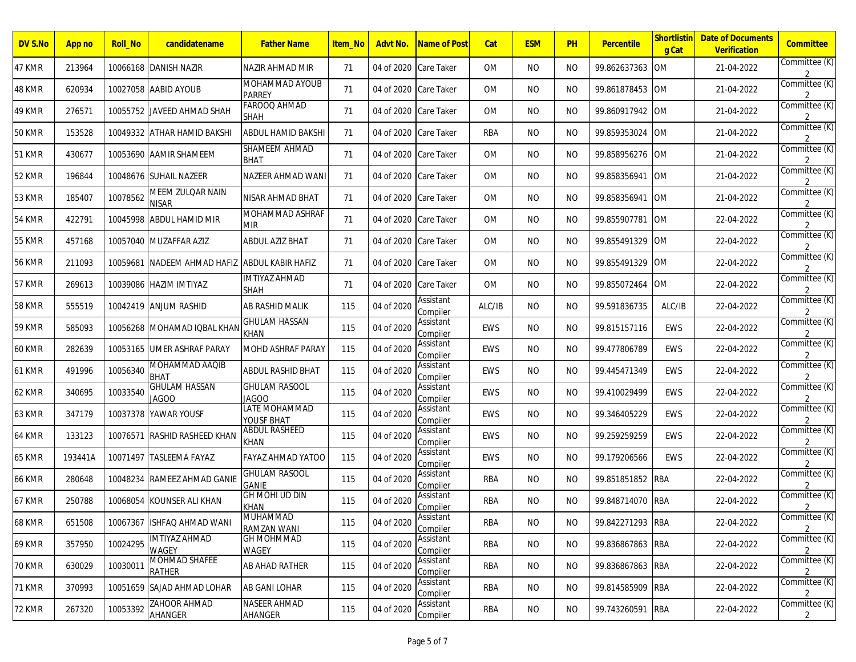| DV S.No       | <b>App no</b> | <b>Roll_No</b> | candidatename                  | <b>Father Name</b>                   | <b>Item No</b> | Advt No.              | Name of Post          | Cat        | <b>ESM</b> | <b>PH</b> | <b>Percentile</b> | <b>Shortlistin</b><br>g Cat | <b>Date of Documents</b><br><b>Verification</b> | <b>Committee</b>                |
|---------------|---------------|----------------|--------------------------------|--------------------------------------|----------------|-----------------------|-----------------------|------------|------------|-----------|-------------------|-----------------------------|-------------------------------------------------|---------------------------------|
| 47 KMR        | 213964        |                | 10066168 DANISH NAZIR          | NAZIR AHMAD MIR                      | 71             | 04 of 2020 Care Taker |                       | <b>OM</b>  | NO.        | NO.       | 99.862637363      | <b>OM</b>                   | 21-04-2022                                      | Committee (K)                   |
| 48 KMR        | 620934        |                | 10027058  AABID AYOUB          | MOHAMMAD AYOUB<br>PARREY             | 71             | 04 of 2020            | Care Taker            | 0M         | NO.        | NO.       | 99.861878453      | <b>OM</b>                   | 21-04-2022                                      | Committee (K)                   |
| 49 KMR        | 276571        | 10055752       | <b>JAVEED AHMAD SHAH</b>       | FAROOQ AHMAD<br><b>SHAH</b>          | 71             | 04 of 2020            | Care Taker            | <b>OM</b>  | NO.        | NO.       | 99.860917942      | <b>OM</b>                   | 21-04-2022                                      | Committee (K)                   |
| <b>50 KMR</b> | 153528        |                | 10049332  ATHAR HAMID BAKSHI   | ABDUL HAMID BAKSHI                   | 71             | 04 of 2020 Care Taker |                       | <b>RBA</b> | NO.        | NO.       | 99.859353024      | <b>OM</b>                   | 21-04-2022                                      | Committee (K)                   |
| 51 KMR        | 430677        | 10053690       | <b>AAMIR SHAMEEM</b>           | SHAMEEM AHMAD<br><b>BHAT</b>         | 71             | 04 of 2020            | Care Taker            | 0M         | NO.        | NO.       | 99.858956276      | <b>OM</b>                   | 21-04-2022                                      | Committee (K)                   |
| 52 KMR        | 196844        |                | 10048676 SUHAIL NAZEER         | NAZEER AHMAD WANI                    | 71             | 04 of 2020            | Care Taker            | <b>OM</b>  | NO.        | NO.       | 99.858356941      | <b>OM</b>                   | 21-04-2022                                      | Committee (K)                   |
| 53 KMR        | 185407        | 10078562       | MEEM ZULQAR NAIN<br>NISAR      | NISAR AHMAD BHAT                     | 71             | 04 of 2020 Care Taker |                       | <b>OM</b>  | NO.        | NO.       | 99.858356941      | <b>OM</b>                   | 21-04-2022                                      | Committee (K)                   |
| <b>54 KMR</b> | 422791        | 10045998       | ABDUL HAMID MIR                | MOHAMMAD ASHRAF<br><b>MIR</b>        | 71             | 04 of 2020            | Care Taker            | <b>OM</b>  | NO.        | NO.       | 99.855907781      | <b>OM</b>                   | 22-04-2022                                      | Committee (K)                   |
| <b>55 KMR</b> | 457168        | 10057040       | <b>MUZAFFAR AZIZ</b>           | ABDUL AZIZ BHAT                      | 71             | 04 of 2020            | Care Taker            | OM         | NO.        | NO.       | 99.855491329      | <b>OM</b>                   | 22-04-2022                                      | Committee (K)                   |
| <b>56 KMR</b> | 211093        |                | 10059681 NADEEM AHMAD HAFIZ    | <b>ABDUL KABIR HAFIZ</b>             | 71             | 04 of 2020 Care Taker |                       | 0M         | NO.        | NO.       | 99.855491329      | <b>OM</b>                   | 22-04-2022                                      | Committee (K)                   |
| <b>57 KMR</b> | 269613        | 10039086       | <b>HAZIM IMTIYAZ</b>           | IMTIYAZ AHMAD<br>SHAH                | 71             | 04 of 2020            | Care Taker            | <b>OM</b>  | NO.        | NO.       | 99.855072464      | <b>OM</b>                   | 22-04-2022                                      | Committee (K)<br>$\mathcal{P}$  |
| <b>58 KMR</b> | 555519        | 10042419       | <b>ANJUM RASHID</b>            | AB RASHID MALIK                      | 115            | 04 of 2020            | Assistant<br>Compiler | ALC/IB     | NO.        | NO.       | 99.591836735      | ALC/IB                      | 22-04-2022                                      | Committee (K)                   |
| 59 KMR        | 585093        | 10056268       | MOHAMAD IQBAL KHAN             | <b>GHULAM HASSAN</b><br>KHAN         | 115            | 04 of 2020            | Assistant<br>Compiler | <b>EWS</b> | NO.        | NO.       | 99.815157116      | EWS                         | 22-04-2022                                      | Committee (K)                   |
| <b>60 KMR</b> | 282639        | 10053165       | UMER ASHRAF PARAY              | MOHD ASHRAF PARAY                    | 115            | 04 of 2020            | Assistant<br>Compiler | <b>EWS</b> | NO.        | NO.       | 99.477806789      | EWS                         | 22-04-2022                                      | Committee (K)                   |
| 61 KMR        | 491996        | 10056340       | MOHAMMAD AAQIB<br><b>BHAT</b>  | ABDUL RASHID BHAT                    | 115            | 04 of 2020            | Assistant<br>Compiler | EWS        | NO.        | NO.       | 99.445471349      | EWS                         | 22-04-2022                                      | Committee (K)                   |
| 62 KMR        | 340695        | 10033540       | <b>GHULAM HASSAN</b><br>JAGOO  | <b>GHULAM RASOOL</b><br><b>JAGOO</b> | 115            | 04 of 2020            | Assistant<br>Compiler | <b>EWS</b> | NO.        | NO.       | 99.410029499      | EWS                         | 22-04-2022                                      | Committee (K)                   |
| 63 KMR        | 347179        | 10037378       | YAWAR YOUSF                    | LATE MOHAMMAD<br>YOUSF BHAT          | 115            | 04 of 2020            | Assistant<br>Compiler | <b>EWS</b> | NO.        | NO.       | 99.346405229      | EWS                         | 22-04-2022                                      | Committee (K)                   |
| <b>64 KMR</b> | 133123        | 10076571       | <b>RASHID RASHEED KHAN</b>     | ABDUL RASHEED<br><b>KHAN</b>         | 115            | 04 of 2020            | Assistant<br>Compiler | <b>EWS</b> | NO.        | NO.       | 99.259259259      | EWS                         | 22-04-2022                                      | Committee (K)                   |
| 65 KMR        | 193441A       |                | 10071497  TASLEEMA FAYAZ       | FAYAZ AHMAD YATOO                    | 115            | 04 of 2020            | Assistant<br>Compiler | <b>EWS</b> | NO.        | NO.       | 99.179206566      | EWS                         | 22-04-2022                                      | Committee (K)                   |
| <b>66 KMR</b> | 280648        | 10048234       | <b>RAMEEZ AHMAD GANIE</b>      | <b>GHULAM RASOOL</b><br><b>GANIE</b> | 115            | 04 of 2020            | Assistant<br>Compiler | RBA        | NO.        | NO.       | 99.851851852      | <b>RBA</b>                  | 22-04-2022                                      | Committee (K)                   |
| 67 KMR        | 250788        | 10068054       | <b>KOUNSER ALI KHAN</b>        | <b>GH MOHI UD DIN</b><br><b>KHAN</b> | 115            | 04 of 2020            | Assistant<br>Compiler | <b>RBA</b> | NO.        | NO.       | 99.848714070      | <b>RBA</b>                  | 22-04-2022                                      | Committee (K)<br>2              |
| 68 KMR        | 651508        |                | 10067367 ISHFAQ AHMAD WANI     | MUHAMMAD<br>RAMZAN WANI              | 115            | 04 of 2020            | Assistant<br>Compiler | <b>RBA</b> | <b>NO</b>  | <b>NO</b> | 99.842271293 RBA  |                             | 22-04-2022                                      | Committee (K)<br>$\overline{2}$ |
| <b>69 KMR</b> | 357950        | 10024295       | <b>IMTIYAZ AHMAD</b><br>WAGEY  | <b>GH MOHMMAD</b><br>WAGEY           | 115            | 04 of 2020            | Assistant<br>Compiler | RBA        | <b>NO</b>  | NO.       | 99.836867863 RBA  |                             | 22-04-2022                                      | Committee (K)                   |
| <b>70 KMR</b> | 630029        | 10030011       | MOHMAD SHAFEE<br><b>RATHER</b> | AB AHAD RATHER                       | 115            | 04 of 2020            | Assistant<br>Compiler | <b>RBA</b> | NO.        | <b>NO</b> | 99.836867863 RBA  |                             | 22-04-2022                                      | Committee (K)<br>$\overline{2}$ |
| <b>71 KMR</b> | 370993        |                | 10051659 SAJAD AHMAD LOHAR     | AB GANI LOHAR                        | 115            | 04 of 2020            | Assistant<br>Compiler | RBA        | <b>NO</b>  | NO.       | 99.814585909 RBA  |                             | 22-04-2022                                      | Committee (K)<br>$\overline{2}$ |
| 72 KMR        | 267320        | 10053392       | <b>ZAHOOR AHMAD</b><br>AHANGER | NASEER AHMAD<br><b>AHANGER</b>       | 115            | 04 of 2020            | Assistant<br>Compiler | RBA        | NO         | NO.       | 99.743260591      | <b>RBA</b>                  | 22-04-2022                                      | Committee (K)<br>$\overline{2}$ |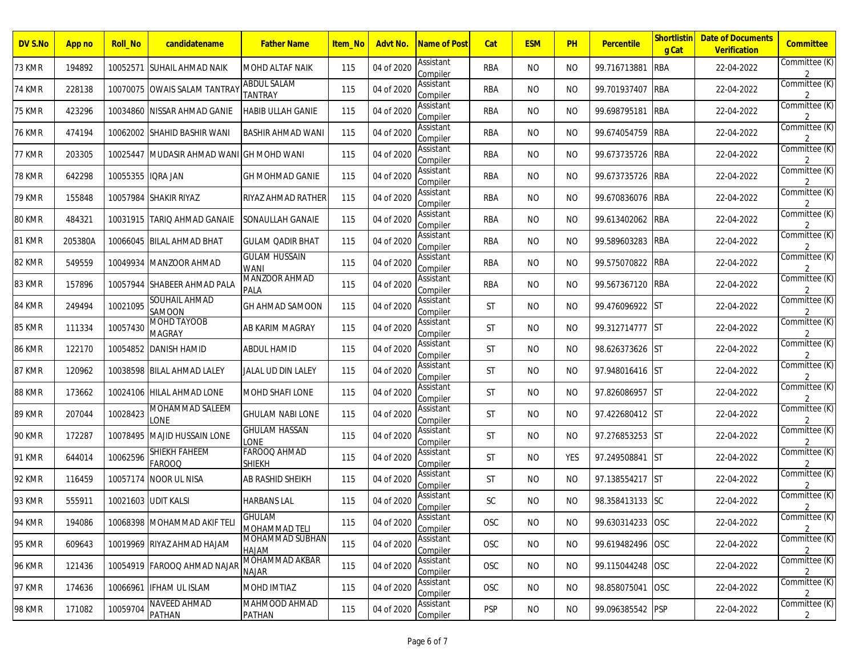| DV S.No       | App no  | <b>Roll_No</b> | candidatename                   | <b>Father Name</b>              | <u>Item_No</u> | Advt No.   | <u>Name of Post</u>   | Cat        | <b>ESM</b> | <b>PH</b> | <b>Percentile</b> | <b>Shortlistin</b><br>g Cat | <b>Date of Documents</b><br>Verification | Committee                       |
|---------------|---------|----------------|---------------------------------|---------------------------------|----------------|------------|-----------------------|------------|------------|-----------|-------------------|-----------------------------|------------------------------------------|---------------------------------|
| 73 KMR        | 194892  |                | 10052571 SUHAIL AHMAD NAIK      | MOHD ALTAF NAIK                 | 115            | 04 of 2020 | Assistant<br>Compiler | <b>RBA</b> | NO.        | NO.       | 99.716713881      | <b>RBA</b>                  | 22-04-2022                               | Committee (K)<br>$\mathfrak{p}$ |
| <b>74 KMR</b> | 228138  | 10070075       | <b>OWAIS SALAM TANTRAY</b>      | ABDUL SALAM<br>TANTRAY          | 115            | 04 of 2020 | Assistant<br>Compiler | RBA        | NO.        | NO.       | 99.701937407      | <b>RBA</b>                  | 22-04-2022                               | Committee (K)<br>$\mathfrak{D}$ |
| <b>75 KMR</b> | 423296  | 10034860       | NISSAR AHMAD GANIE              | <b>HABIB ULLAH GANIE</b>        | 115            | 04 of 2020 | Assistant<br>Compiler | <b>RBA</b> | <b>NO</b>  | NO.       | 99.698795181      | <b>RBA</b>                  | 22-04-2022                               | Committee (K)                   |
| <b>76 KMR</b> | 474194  |                | 10062002  SHAHID BASHIR WANI    | BASHIR AHMAD WANI               | 115            | 04 of 2020 | Assistant<br>Compiler | <b>RBA</b> | NO.        | NO.       | 99.674054759      | <b>RBA</b>                  | 22-04-2022                               | Committee (K)<br>$\mathfrak{p}$ |
| 77 KMR        | 203305  | 10025447       | MUDASIR AHMAD WANI GH MOHD WANI |                                 | 115            | 04 of 2020 | Assistant<br>Compiler | <b>RBA</b> | NO.        | NO.       | 99.673735726      | <b>RBA</b>                  | 22-04-2022                               | Committee (K)                   |
| <b>78 KMR</b> | 642298  | 10055355       | <b>IQRA JAN</b>                 | GH MOHMAD GANIE                 | 115            | 04 of 2020 | Assistant<br>Compiler | <b>RBA</b> | <b>NO</b>  | NO.       | 99.673735726      | <b>RBA</b>                  | 22-04-2022                               | Committee (K)                   |
| 79 KMR        | 155848  |                | 10057984  SHAKIR RIYAZ          | RIYAZ AHMAD RATHER              | 115            | 04 of 2020 | Assistant<br>Compiler | <b>RBA</b> | NO.        | NO.       | 99.670836076 RBA  |                             | 22-04-2022                               | Committee (K)                   |
| 80 KMR        | 484321  | 10031915       | <b>TARIO AHMAD GANAIE</b>       | SONAULLAH GANAIE                | 115            | 04 of 2020 | Assistant<br>Compiler | <b>RBA</b> | NO.        | NO.       | 99.613402062      | <b>RBA</b>                  | 22-04-2022                               | Committee (K)                   |
| <b>81 KMR</b> | 205380A | 10066045       | <b>BILAL AHMAD BHAT</b>         | GULAM QADIR BHAT                | 115            | 04 of 2020 | Assistant<br>Compiler | <b>RBA</b> | <b>NO</b>  | NO.       | 99.589603283      | <b>RBA</b>                  | 22-04-2022                               | Committee (K)                   |
| 82 KMR        | 549559  | 10049934       | <b>MANZOOR AHMAD</b>            | <b>GULAM HUSSAIN</b><br>WANI    | 115            | 04 of 2020 | Assistant<br>Compiler | RBA        | NO.        | NO.       | 99.575070822 RBA  |                             | 22-04-2022                               | Committee (K)                   |
| 83 KMR        | 157896  | 10057944       | <b>SHABEER AHMAD PALA</b>       | MANZOOR AHMAD<br>PALA           | 115            | 04 of 2020 | Assistant<br>Compiler | <b>RBA</b> | NO.        | NO.       | 99.567367120 RBA  |                             | 22-04-2022                               | Committee (K)<br>2              |
| 84 KMR        | 249494  | 10021095       | SOUHAIL AHMAD<br>SAMOON         | GH AHMAD SAMOON                 | 115            | 04 of 2020 | Assistant<br>Compiler | <b>ST</b>  | <b>NO</b>  | NO.       | 99.476096922 ST   |                             | 22-04-2022                               | Committee (K)                   |
| 85 KMR        | 111334  | 10057430       | MOHD TAYOOB<br>MAGRAY           | AB KARIM MAGRAY                 | 115            | 04 of 2020 | Assistant<br>Compiler | <b>ST</b>  | NO.        | NO.       | 99.312714777 ST   |                             | 22-04-2022                               | Committee (K)<br>2              |
| <b>86 KMR</b> | 122170  | 10054852       | <b>DANISH HAMID</b>             | <b>ABDUL HAMID</b>              | 115            | 04 of 2020 | Assistant<br>Compiler | <b>ST</b>  | NO.        | NO.       | 98.626373626 ST   |                             | 22-04-2022                               | Committee (K)                   |
| 87 KMR        | 120962  | 10038598       | <b>BILAL AHMAD LALEY</b>        | JALAL UD DIN LALEY              | 115            | 04 of 2020 | Assistant<br>Compiler | <b>ST</b>  | NO.        | NO.       | 97.948016416 ST   |                             | 22-04-2022                               | Committee (K)                   |
| 88 KMR        | 173662  | 10024106       | HILAL AHMAD LONE                | MOHD SHAFI LONE                 | 115            | 04 of 2020 | Assistant<br>Compiler | <b>ST</b>  | NO.        | NO.       | 97.826086957 ST   |                             | 22-04-2022                               | Committee (K)                   |
| 89 KMR        | 207044  | 10028423       | MOHAMMAD SALEEM<br>LONE         | <b>GHULAM NABI LONE</b>         | 115            | 04 of 2020 | Assistant<br>Compiler | <b>ST</b>  | NO.        | NO.       | 97.422680412 ST   |                             | 22-04-2022                               | Committee (K)                   |
| <b>90 KMR</b> | 172287  | 10078495       | <b>MAJID HUSSAIN LONE</b>       | <b>GHULAM HASSAN</b><br>LONE    | 115            | 04 of 2020 | Assistant<br>Compiler | <b>ST</b>  | NO.        | NO.       | 97.276853253 ST   |                             | 22-04-2022                               | Committee (K)<br>$\overline{2}$ |
| <b>91 KMR</b> | 644014  | 10062596       | SHIEKH FAHEEM<br><b>FAROOQ</b>  | FAROOQ AHMAD<br><b>SHIEKH</b>   | 115            | 04 of 2020 | Assistant<br>Compiler | <b>ST</b>  | NO.        | YES       | 97.249508841 ST   |                             | 22-04-2022                               | Committee (K)                   |
| <b>92 KMR</b> | 116459  | 10057174       | <b>NOOR UL NISA</b>             | AB RASHID SHEIKH                | 115            | 04 of 2020 | Assistant<br>Compiler | <b>ST</b>  | NO.        | NO.       | 97.138554217 ST   |                             | 22-04-2022                               | Committee (K)                   |
| <b>93 KMR</b> | 555911  | 10021603       | <b>UDIT KALSI</b>               | <b>HARBANS LAL</b>              | 115            | 04 of 2020 | Assistant<br>Compiler | <b>SC</b>  | NO.        | NO.       | 98.358413133 SC   |                             | 22-04-2022                               | Committee (K)<br>2              |
| <b>94 KMR</b> | 194086  |                | 10068398 MOHAMMAD AKIF TELI     | GHULAM<br>MOHAMMAD TELI         | 115            | 04 of 2020 | Assistant<br>Compiler | OSC        | <b>NO</b>  | <b>NO</b> | 99.630314233 OSC  |                             | 22-04-2022                               | Committee (K)<br>$\overline{2}$ |
| <b>95 KMR</b> | 609643  |                | 10019969 RIYAZ AHMAD HAJAM      | MOHAMMAD SUBHAN<br><b>HAJAM</b> | 115            | 04 of 2020 | Assistant<br>Compiler | OSC        | <b>NO</b>  | <b>NO</b> | 99.619482496 OSC  |                             | 22-04-2022                               | Committee (K)                   |
| <b>96 KMR</b> | 121436  |                | 10054919 FAROOQ AHMAD NAJAI     | MOHAMMAD AKBAR<br><b>NAJAR</b>  | 115            | 04 of 2020 | Assistant<br>Compiler | <b>OSC</b> | NO.        | <b>NO</b> | 99.115044248 OSC  |                             | 22-04-2022                               | Committee (K)<br>$\overline{2}$ |
| <b>97 KMR</b> | 174636  |                | 10066961 IFHAM UL ISLAM         | MOHD IMTIAZ                     | 115            | 04 of 2020 | Assistant<br>Compiler | <b>OSC</b> | NO.        | NO.       | 98.858075041 OSC  |                             | 22-04-2022                               | Committee (K)<br>$\overline{2}$ |
| <b>98 KMR</b> | 171082  | 10059704       | <b>NAVEED AHMAD</b><br>PATHAN   | MAHMOOD AHMAD<br>PATHAN         | 115            | 04 of 2020 | Assistant<br>Compiler | <b>PSP</b> | <b>NO</b>  | <b>NO</b> | 99.096385542 PSP  |                             | 22-04-2022                               | Committee (K)<br>2              |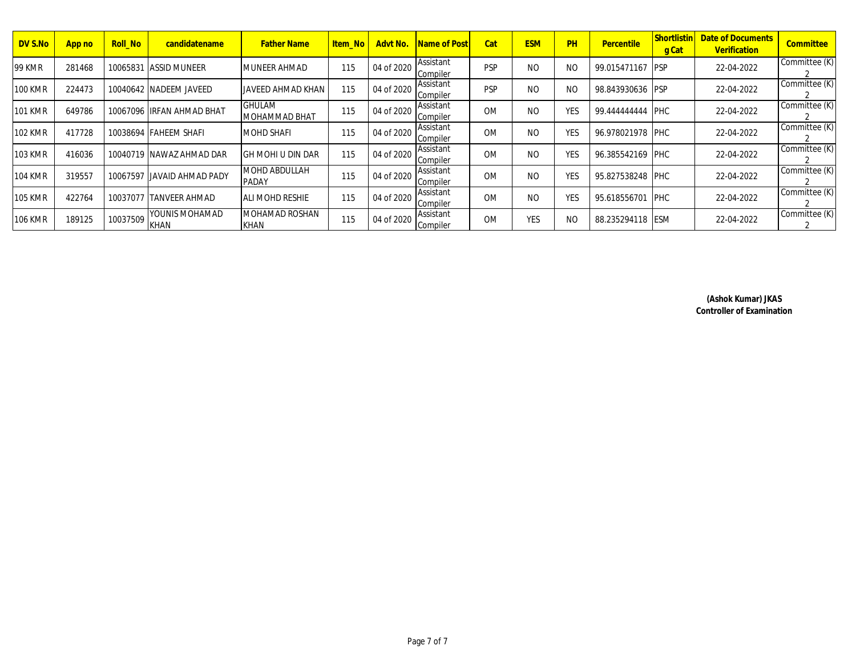| DV S.No        | App no | <b>Roll No</b> | candidatename                        | <b>Father Name</b>             | ltem Nol | Advt No.   | <b>Name of Post</b>   | Cat        | <b>ESM</b>     | PH            | Percentile        | Shortlistin<br>g Cat | <b>Date of Documents</b><br>Verification | Committee     |
|----------------|--------|----------------|--------------------------------------|--------------------------------|----------|------------|-----------------------|------------|----------------|---------------|-------------------|----------------------|------------------------------------------|---------------|
| <b>99 KMR</b>  | 281468 |                | 10065831 ASSID MUNEER                | IMUNEER AHMAD                  | 115      | 04 of 2020 | Assistant<br>Compiler | <b>PSP</b> | N <sub>O</sub> | NO            | 99.015471167 IPSP |                      | 22-04-2022                               | Committee (K) |
| <b>100 KMR</b> | 224473 |                | 10040642 INADEEM JAVEED              | IJAVEED AHMAD KHAN             | 115      | 04 of 2020 | Assistant<br>Compiler | <b>PSP</b> | N <sub>O</sub> | <sub>NO</sub> | 98.843930636 PSP  |                      | 22-04-2022                               | Committee (K) |
| <b>101 KMR</b> | 649786 |                | 10067096 IRFAN AHMAD BHAT            | <b>GHULAM</b><br>MOHAMMAD BHAT | 115      | 04 of 2020 | Assistant<br>Compiler | <b>OM</b>  | <sub>NO</sub>  | <b>YES</b>    | 99.444444444 PHC  |                      | 22-04-2022                               | Committee (K) |
| <b>102 KMR</b> | 417728 |                | 10038694 FAHEEM SHAFI                | <b>MOHD SHAFI</b>              | 115      | 04 of 2020 | Assistant<br>Compiler | <b>OM</b>  | N <sub>O</sub> | YES           | 96.978021978 PHC  |                      | 22-04-2022                               | Committee (K) |
| <b>103 KMR</b> | 416036 |                | 10040719 INAWAZ AHMAD DAR            | IGH MOHI U DIN DAR             | 115      | 04 of 2020 | Assistant<br>Compiler | <b>OM</b>  | N <sub>O</sub> | YES           | 96.385542169 PHC  |                      | 22-04-2022                               | Committee (K) |
| <b>104 KMR</b> | 319557 | 10067597       | LIAVAID AHMAD PADY                   | MOHD ABDULLAH<br><b>PADAY</b>  | 115      | 04 of 2020 | Assistant<br>Compiler | <b>OM</b>  | <sub>NO</sub>  | <b>YES</b>    | 95.827538248 PHC  |                      | 22-04-2022                               | Committee (K) |
| <b>105 KMR</b> | 422764 | 10037077       | <b>TANVEER AHMAD</b>                 | <b>JALI MOHD RESHIE</b>        | 115      | 04 of 2020 | Assistant<br>Compiler | <b>OM</b>  | N <sub>O</sub> | <b>YES</b>    | 95.618556701 PHC  |                      | 22-04-2022                               | Committee (K) |
| <b>106 KMR</b> | 189125 | 10037509       | <b>YOUNIS MOHAMAD</b><br><b>KHAN</b> | MOHAMAD ROSHAN<br><b>KHAN</b>  | 115      | 04 of 2020 | Assistant<br>Compiler | <b>OM</b>  | <b>YES</b>     | NO            | 88.235294118 ESM  |                      | 22-04-2022                               | Committee (K) |

**(Ashok Kumar) JKAS Controller of Examination**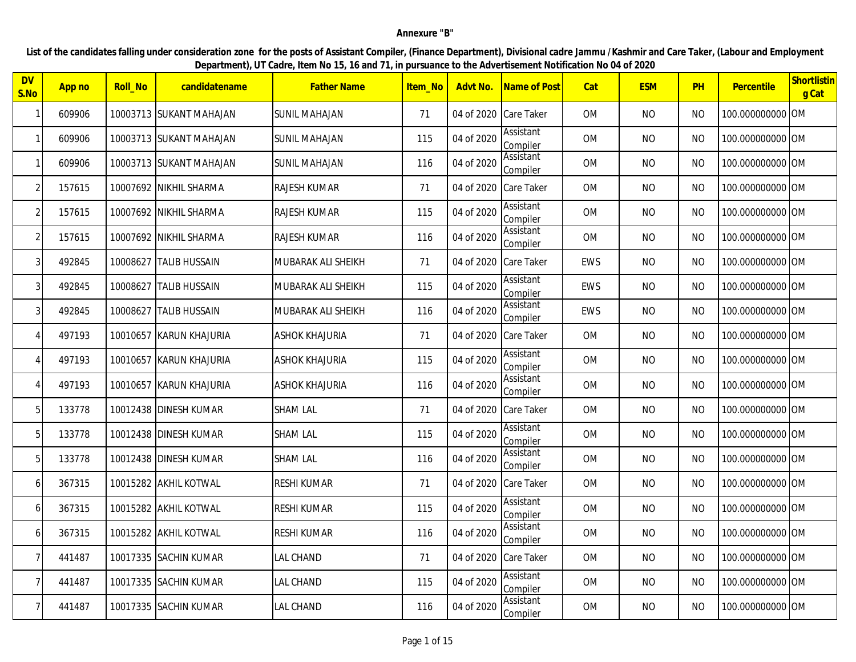## **Annexure "B"**

**List of the candidates falling under consideration zone for the posts of Assistant Compiler, (Finance Department), Divisional cadre Jammu /Kashmir and Care Taker, (Labour and Employment Department), UT Cadre, Item No 15, 16 and 71, in pursuance to the Advertisement Notification No 04 of 2020** 

| <b>DV</b><br>$\mathsf{S}.\mathsf{No}$ | App no | <b>Roll_No</b> | candidatename            | <b>Father Name</b>    | <u>Item Noll</u> | Advt No.              | Name of Post                 | Cat       | <b>ESM</b> | PH        | Percentile       | Shortlistin<br>g Cat |
|---------------------------------------|--------|----------------|--------------------------|-----------------------|------------------|-----------------------|------------------------------|-----------|------------|-----------|------------------|----------------------|
| -1                                    | 609906 |                | 10003713 SUKANT MAHAJAN  | <b>SUNIL MAHAJAN</b>  | 71               | 04 of 2020 Care Taker |                              | <b>OM</b> | <b>NO</b>  | NO.       | 100.000000000 OM |                      |
| $\mathbf{1}$                          | 609906 |                | 10003713 SUKANT MAHAJAN  | <b>SUNIL MAHAJAN</b>  | 115              | 04 of 2020            | Assistant<br>Compiler        | OM        | <b>NO</b>  | NO.       | 100.000000000 OM |                      |
| -1                                    | 609906 |                | 10003713 ISUKANT MAHAJAN | SUNIL MAHAJAN         | 116              | 04 of 2020            | Assistant<br>Compiler        | OM        | <b>NO</b>  | NO.       | 100.000000000 OM |                      |
| $\overline{2}$                        | 157615 |                | 10007692 NIKHIL SHARMA   | <b>RAJESH KUMAR</b>   | 71               | 04 of 2020 Care Taker |                              | <b>OM</b> | <b>NO</b>  | <b>NO</b> | 100.000000000 OM |                      |
| $\overline{2}$                        | 157615 |                | 10007692 NIKHIL SHARMA   | RAJESH KUMAR          | 115              | 04 of 2020            | Assistant<br>Compiler        | 0M        | <b>NO</b>  | NO.       | 100.000000000 OM |                      |
| $\overline{2}$                        | 157615 |                | 10007692 INIKHIL SHARMA  | RAJESH KUMAR          | 116              | 04 of 2020            | Assistant<br>Compiler        | OM        | <b>NO</b>  | <b>NO</b> | 100.000000000 OM |                      |
| 3                                     | 492845 | 10008627       | <b>TALIB HUSSAIN</b>     | MUBARAK ALI SHEIKH    | 71               | 04 of 2020 Care Taker |                              | EWS       | <b>NO</b>  | <b>NO</b> | 100.000000000 OM |                      |
| 3                                     | 492845 | 10008627       | <b>TALIB HUSSAIN</b>     | MUBARAK ALI SHEIKH    | 115              | 04 of 2020            | Assistant<br>Compiler        | EWS       | <b>NO</b>  | NO.       | 100.000000000 OM |                      |
| 3                                     | 492845 | 10008627       | <b>TALIB HUSSAIN</b>     | MUBARAK ALI SHEIKH    | 116              | 04 of 2020            | Assistant<br>Compiler        | EWS       | <b>NO</b>  | <b>NO</b> | 100.000000000 OM |                      |
| $\Delta$                              | 497193 |                | 10010657 KARUN KHAJURIA  | <b>ASHOK KHAJURIA</b> | 71               | 04 of 2020 Care Taker |                              | <b>OM</b> | <b>NO</b>  | <b>NO</b> | 100.000000000 OM |                      |
| $\Delta$                              | 497193 |                | 10010657  KARUN KHAJURIA | ASHOK KHAJURIA        | 115              | 04 of 2020            | Assistant<br>Compiler        | <b>OM</b> | <b>NO</b>  | NO.       | 100.000000000 OM |                      |
| $\Delta$                              | 497193 |                | 10010657 KARUN KHAJURIA  | ASHOK KHAJURIA        | 116              | 04 of 2020            | Assistant<br>Compiler        | OM        | <b>NO</b>  | NO.       | 100.000000000 OM |                      |
| 5                                     | 133778 |                | 10012438 DINESH KUMAR    | <b>SHAM LAL</b>       | 71               | 04 of 2020 Care Taker |                              | 0M        | <b>NO</b>  | <b>NO</b> | 100.000000000 OM |                      |
| 5                                     | 133778 |                | 10012438 DINESH KUMAR    | <b>SHAM LAL</b>       | 115              | 04 of 2020            | Assistant<br>Compiler        | OM        | <b>NO</b>  | <b>NO</b> | 100.000000000 OM |                      |
| 5                                     | 133778 |                | 10012438 DINESH KUMAR    | <b>SHAM LAL</b>       | 116              | 04 of 2020            | Assistant<br>Compiler        | <b>OM</b> | <b>NO</b>  | <b>NO</b> | 100.000000000 OM |                      |
| 6                                     | 367315 |                | 10015282 AKHIL KOTWAL    | <b>RESHI KUMAR</b>    | 71               | 04 of 2020            | Care Taker                   | <b>OM</b> | <b>NO</b>  | <b>NO</b> | 100.000000000 OM |                      |
| 6                                     | 367315 |                | 10015282 AKHIL KOTWAL    | <b>RESHI KUMAR</b>    | 115              | 04 of 2020            | <b>Assistant</b><br>Compiler | OM        | <b>NO</b>  | <b>NO</b> | 100.000000000 OM |                      |
| 6                                     | 367315 |                | 10015282 AKHIL KOTWAL    | <b>RESHI KUMAR</b>    | 116              | 04 of 2020            | Assistant<br>Compiler        | OM        | <b>NO</b>  | NO        | 100.000000000 OM |                      |
| 7                                     | 441487 |                | 10017335 ISACHIN KUMAR   | LAL CHAND             | 71               | 04 of 2020            | Care Taker                   | <b>OM</b> | <b>NO</b>  | <b>NO</b> | 100.000000000 OM |                      |
| $\overline{7}$                        | 441487 |                | 10017335 SACHIN KUMAR    | LAL CHAND             | 115              | 04 of 2020            | Assistant<br>Compiler        | OM        | <b>NO</b>  | <b>NO</b> | 100.000000000 OM |                      |
| 7 <sup>1</sup>                        | 441487 |                | 10017335  SACHIN KUMAR   | LAL CHAND             | 116              | 04 of 2020            | Assistant<br>Compiler        | <b>OM</b> | <b>NO</b>  | NO.       | 100.000000000 OM |                      |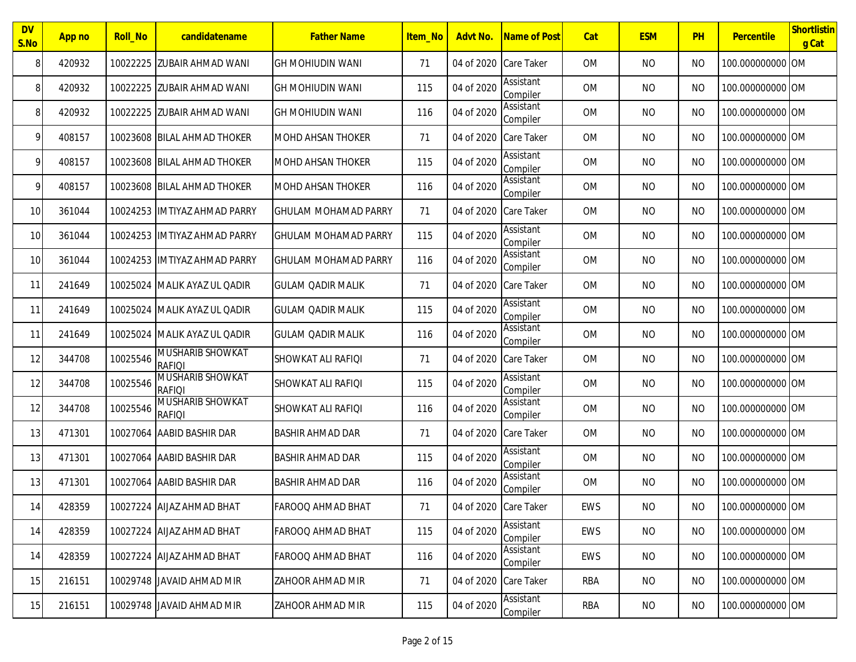| <b>DV</b><br>S.No | App no | Roll_No  | candidatename                            | <b>Father Name</b>          | <b>Item No</b> | Advt No.              | Name of Post                 | Cat       | <b>ESM</b> | PH             | Percentile       | Shortlistin<br>g Cat |
|-------------------|--------|----------|------------------------------------------|-----------------------------|----------------|-----------------------|------------------------------|-----------|------------|----------------|------------------|----------------------|
| 8                 | 420932 | 10022225 | <b>IZUBAIR AHMAD WANI</b>                | <b>GH MOHIUDIN WANI</b>     | 71             | 04 of 2020 Care Taker |                              | <b>OM</b> | <b>NO</b>  | <b>NO</b>      | 100.000000000 OM |                      |
| 8                 | 420932 | 10022225 | <b>ZUBAIR AHMAD WANI</b>                 | <b>GH MOHIUDIN WANI</b>     | 115            | 04 of 2020            | Assistant<br>Compiler        | <b>OM</b> | <b>NO</b>  | <b>NO</b>      | 100.000000000 OM |                      |
| 8                 | 420932 | 10022225 | <b>ZUBAIR AHMAD WANI</b>                 | <b>GH MOHIUDIN WANI</b>     | 116            | 04 of 2020            | Assistant<br>Compiler        | <b>OM</b> | <b>NO</b>  | <b>NO</b>      | 100.000000000 OM |                      |
| 9                 | 408157 |          | 10023608 BILAL AHMAD THOKER              | <b>MOHD AHSAN THOKER</b>    | 71             | 04 of 2020            | <b>Care Taker</b>            | <b>OM</b> | <b>NO</b>  | <b>NO</b>      | 100.000000000 OM |                      |
| 9                 | 408157 |          | 10023608 BILAL AHMAD THOKER              | <b>MOHD AHSAN THOKER</b>    | 115            | 04 of 2020            | Assistant<br>Compiler        | <b>OM</b> | <b>NO</b>  | <b>NO</b>      | 100.000000000 OM |                      |
| 9                 | 408157 |          | 10023608 BILAL AHMAD THOKER              | MOHD AHSAN THOKER           | 116            | 04 of 2020            | Assistant<br>Compiler        | <b>OM</b> | <b>NO</b>  | <b>NO</b>      | 100.000000000 OM |                      |
| 10                | 361044 |          | 10024253 IMTIYAZ AHMAD PARRY             | <b>GHULAM MOHAMAD PARRY</b> | 71             | 04 of 2020 Care Taker |                              | <b>OM</b> | <b>NO</b>  | <b>NO</b>      | 100.000000000 OM |                      |
| 10                | 361044 |          | 10024253 IMTIYAZ AHMAD PARRY             | <b>GHULAM MOHAMAD PARRY</b> | 115            | 04 of 2020            | <b>Assistant</b><br>Compiler | <b>OM</b> | <b>NO</b>  | <b>NO</b>      | 100.000000000 OM |                      |
| 10                | 361044 |          | 10024253 IIMTIYAZ AHMAD PARRY            | <b>GHULAM MOHAMAD PARRY</b> | 116            | 04 of 2020            | Assistant<br>Compiler        | <b>OM</b> | <b>NO</b>  | <b>NO</b>      | 100.000000000 OM |                      |
| 11                | 241649 |          | 10025024 MALIK AYAZ UL QADIR             | <b>GULAM QADIR MALIK</b>    | 71             | 04 of 2020 Care Taker |                              | <b>OM</b> | <b>NO</b>  | <b>NO</b>      | 100.000000000 OM |                      |
| 11                | 241649 |          | 10025024 MALIK AYAZ UL QADIR             | <b>GULAM QADIR MALIK</b>    | 115            | 04 of 2020            | Assistant<br>Compiler        | <b>OM</b> | <b>NO</b>  | <b>NO</b>      | 100.000000000 OM |                      |
| 11                | 241649 | 10025024 | MALIK AYAZ UL OADIR                      | <b>GULAM QADIR MALIK</b>    | 116            | 04 of 2020            | Assistant<br>Compiler        | <b>OM</b> | <b>NO</b>  | <b>NO</b>      | 100.000000000 OM |                      |
| 12                | 344708 | 10025546 | <b>MUSHARIB SHOWKAT</b><br><b>RAFIOI</b> | SHOWKAT ALI RAFIQI          | 71             | 04 of 2020            | <b>Care Taker</b>            | <b>OM</b> | <b>NO</b>  | <b>NO</b>      | 100.000000000 OM |                      |
| 12                | 344708 | 10025546 | MUSHARIB SHOWKAT<br><b>RAFIOI</b>        | SHOWKAT ALI RAFIQI          | 115            | 04 of 2020            | Assistant<br>Compiler        | <b>OM</b> | <b>NO</b>  | <b>NO</b>      | 100.000000000 OM |                      |
| 12                | 344708 | 10025546 | <b>MUSHARIB SHOWKAT</b><br><b>RAFIOI</b> | SHOWKAT ALI RAFIQI          | 116            | 04 of 2020            | Assistant<br>Compiler        | <b>OM</b> | <b>NO</b>  | <b>NO</b>      | 100.000000000 OM |                      |
| 13                | 471301 |          | 10027064 AABID BASHIR DAR                | <b>BASHIR AHMAD DAR</b>     | 71             | 04 of 2020 Care Taker |                              | <b>OM</b> | <b>NO</b>  | N <sub>O</sub> | 100.000000000 OM |                      |
| 13                | 471301 |          | 10027064 AABID BASHIR DAR                | <b>BASHIR AHMAD DAR</b>     | 115            | 04 of 2020            | Assistant<br>Compiler        | <b>OM</b> | <b>NO</b>  | <b>NO</b>      | 100.000000000 OM |                      |
| 13                | 471301 | 10027064 | AABID BASHIR DAR                         | <b>BASHIR AHMAD DAR</b>     | 116            | 04 of 2020            | Assistant<br>Compiler        | <b>OM</b> | <b>NO</b>  | <b>NO</b>      | 100.000000000 OM |                      |
| 14                | 428359 |          | 10027224 AIJAZ AHMAD BHAT                | FAROOQ AHMAD BHAT           | 71             | 04 of 2020 Care Taker |                              | EWS       | <b>NO</b>  | <b>NO</b>      | 100.000000000 OM |                      |
| 14                | 428359 |          | 10027224 AIJAZ AHMAD BHAT                | <b>FAROOQ AHMAD BHAT</b>    | 115            | 04 of 2020            | Assistant<br>Compiler        | EWS       | <b>NO</b>  | <b>NO</b>      | 100.000000000 OM |                      |
| 14                | 428359 |          | 10027224 AIJAZ AHMAD BHAT                | FAROOQ AHMAD BHAT           | 116            | 04 of 2020            | Assistant<br>Compiler        | EWS       | <b>NO</b>  | <b>NO</b>      | 100.000000000 OM |                      |
| 15                | 216151 |          | 10029748 JAVAID AHMAD MIR                | <b>ZAHOOR AHMAD MIR</b>     | 71             | 04 of 2020 Care Taker |                              | RBA       | NO         | <b>NO</b>      | 100.000000000 OM |                      |
| 15                | 216151 |          | 10029748 JAVAID AHMAD MIR                | ZAHOOR AHMAD MIR            | 115            | 04 of 2020            | Assistant<br>Compiler        | RBA       | <b>NO</b>  | <b>NO</b>      | 100.000000000 OM |                      |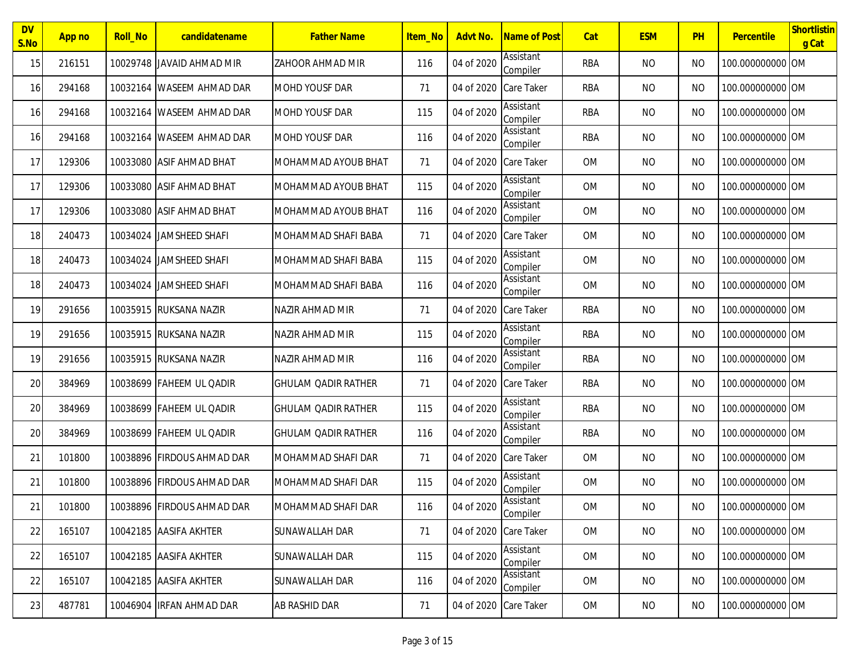| <b>DV</b><br>S.No | App no | <b>Roll_No</b> | candidatename              | <b>Father Name</b>         | <b>Item No</b> | Advt No.              | Name of Post          | Cat        | <b>ESM</b> | PH        | Percentile       | Shortlistin<br>g Cat |
|-------------------|--------|----------------|----------------------------|----------------------------|----------------|-----------------------|-----------------------|------------|------------|-----------|------------------|----------------------|
| 15                | 216151 |                | 10029748 UAVAID AHMAD MIR  | <b>ZAHOOR AHMAD MIR</b>    | 116            | 04 of 2020            | Assistant<br>Compiler | RBA        | <b>NO</b>  | <b>NO</b> | 100.000000000 OM |                      |
| 16                | 294168 |                | 10032164 WASEEM AHMAD DAR  | <b>MOHD YOUSF DAR</b>      | 71             | 04 of 2020            | <b>Care Taker</b>     | RBA        | <b>NO</b>  | <b>NO</b> | 100.000000000 OM |                      |
| 16                | 294168 |                | 10032164 WASEEM AHMAD DAR  | <b>MOHD YOUSF DAR</b>      | 115            | 04 of 2020            | Assistant<br>Compiler | RBA        | <b>NO</b>  | <b>NO</b> | 100.000000000 OM |                      |
| 16                | 294168 |                | 10032164 WASEEM AHMAD DAR  | <b>MOHD YOUSF DAR</b>      | 116            | 04 of 2020            | Assistant<br>Compiler | <b>RBA</b> | <b>NO</b>  | <b>NO</b> | 100.000000000 OM |                      |
| 17                | 129306 |                | 10033080 ASIF AHMAD BHAT   | MOHAMMAD AYOUB BHAT        | 71             | 04 of 2020 Care Taker |                       | <b>OM</b>  | <b>NO</b>  | <b>NO</b> | 100.000000000 OM |                      |
| 17                | 129306 |                | 10033080 ASIF AHMAD BHAT   | MOHAMMAD AYOUB BHAT        | 115            | 04 of 2020            | Assistant<br>Compiler | 0M         | <b>NO</b>  | <b>NO</b> | 100.000000000 OM |                      |
| 17                | 129306 |                | 10033080 ASIF AHMAD BHAT   | MOHAMMAD AYOUB BHAT        | 116            | 04 of 2020            | Assistant<br>Compiler | 0M         | <b>NO</b>  | <b>NO</b> | 100.000000000 OM |                      |
| 18                | 240473 |                | 10034024 JJAMSHEED SHAFI   | MOHAMMAD SHAFI BABA        | 71             | 04 of 2020            | Care Taker            | 0M         | <b>NO</b>  | <b>NO</b> | 100.000000000 OM |                      |
| 18                | 240473 |                | 10034024 JJAMSHEED SHAFI   | MOHAMMAD SHAFI BABA        | 115            | 04 of 2020            | Assistant<br>Compiler | <b>OM</b>  | <b>NO</b>  | <b>NO</b> | 100.000000000 OM |                      |
| 18                | 240473 |                | 10034024 JAMSHEED SHAFI    | MOHAMMAD SHAFI BABA        | 116            | 04 of 2020            | Assistant<br>Compiler | <b>OM</b>  | <b>NO</b>  | <b>NO</b> | 100.000000000 OM |                      |
| 19                | 291656 |                | 10035915 RUKSANA NAZIR     | NAZIR AHMAD MIR            | 71             | 04 of 2020            | <b>Care Taker</b>     | RBA        | <b>NO</b>  | <b>NO</b> | 100.000000000 OM |                      |
| 19                | 291656 |                | 10035915 RUKSANA NAZIR     | NAZIR AHMAD MIR            | 115            | 04 of 2020            | Assistant<br>Compiler | RBA        | <b>NO</b>  | <b>NO</b> | 100.000000000 OM |                      |
| 19                | 291656 |                | 10035915 RUKSANA NAZIR     | NAZIR AHMAD MIR            | 116            | 04 of 2020            | Assistant<br>Compiler | RBA        | <b>NO</b>  | <b>NO</b> | 100.000000000 OM |                      |
| 20                | 384969 |                | 10038699 FAHEEM UL QADIR   | <b>GHULAM QADIR RATHER</b> | 71             | 04 of 2020            | Care Taker            | RBA        | <b>NO</b>  | <b>NO</b> | 100.000000000 OM |                      |
| 20                | 384969 |                | 10038699 FAHEEM UL QADIR   | <b>GHULAM QADIR RATHER</b> | 115            | 04 of 2020            | Assistant<br>Compiler | RBA        | <b>NO</b>  | <b>NO</b> | 100.000000000 OM |                      |
| 20                | 384969 |                | 10038699 FAHEEM UL QADIR   | <b>GHULAM QADIR RATHER</b> | 116            | 04 of 2020            | Assistant<br>Compiler | RBA        | <b>NO</b>  | <b>NO</b> | 100.000000000 OM |                      |
| 21                | 101800 |                | 10038896 FIRDOUS AHMAD DAR | MOHAMMAD SHAFI DAR         | 71             | 04 of 2020            | Care Taker            | 0M         | <b>NO</b>  | <b>NO</b> | 100.000000000 OM |                      |
| 21                | 101800 |                | 10038896 FIRDOUS AHMAD DAR | MOHAMMAD SHAFI DAR         | 115            | 04 of 2020            | Assistant<br>Compiler | 0M         | NO.        | <b>NO</b> | 100.000000000 OM |                      |
| 21                | 101800 |                | 10038896 FIRDOUS AHMAD DAR | MOHAMMAD SHAFI DAR         | 116            | 04 of 2020            | Assistant<br>Compiler | OM         | <b>NO</b>  | <b>NO</b> | 100.000000000 OM |                      |
| 22                | 165107 |                | 10042185 AASIFA AKHTER     | <b>SUNAWALLAH DAR</b>      | 71             | 04 of 2020 Care Taker |                       | OM         | <b>NO</b>  | <b>NO</b> | 100.000000000 OM |                      |
| 22                | 165107 |                | 10042185 AASIFA AKHTER     | <b>SUNAWALLAH DAR</b>      | 115            | 04 of 2020            | Assistant<br>Compiler | 0M         | <b>NO</b>  | <b>NO</b> | 100.000000000 OM |                      |
| 22                | 165107 |                | 10042185 AASIFA AKHTER     | <b>SUNAWALLAH DAR</b>      | 116            | 04 of 2020            | Assistant<br>Compiler | OM         | <b>NO</b>  | <b>NO</b> | 100.000000000 OM |                      |
| 23                | 487781 |                | 10046904 IRFAN AHMAD DAR   | AB RASHID DAR              | 71             | 04 of 2020 Care Taker |                       | OM         | <b>NO</b>  | NO.       | 100.000000000 OM |                      |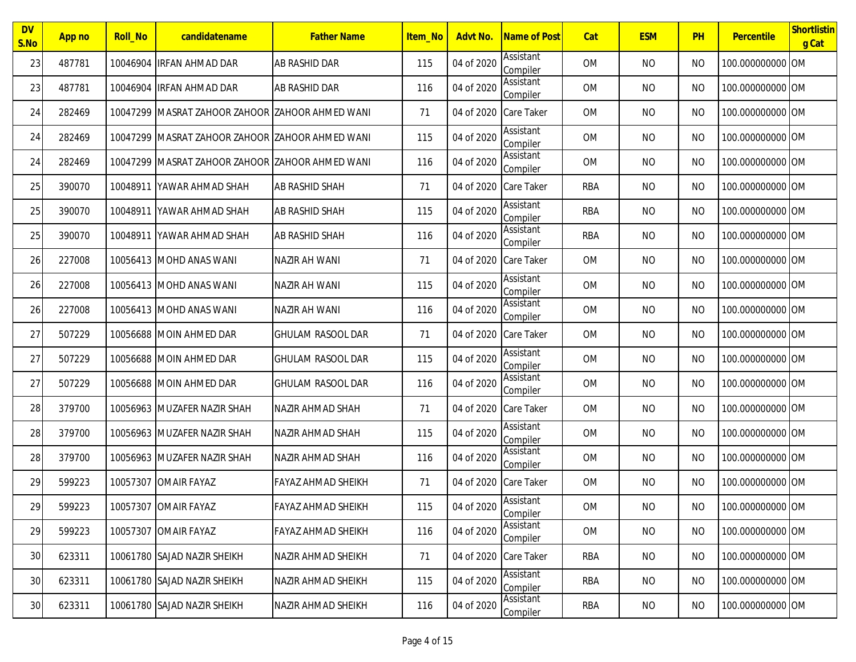| <b>DV</b><br>S.No | App no | <b>Roll_No</b> | candidatename                                     | <b>Father Name</b>        | <b>Item No</b> | Advt No.              | Name of Post          | Cat        | <b>ESM</b> | PH        | Percentile       | Shortlistin<br>g Cat |
|-------------------|--------|----------------|---------------------------------------------------|---------------------------|----------------|-----------------------|-----------------------|------------|------------|-----------|------------------|----------------------|
| 23                | 487781 |                | 10046904 IRFAN AHMAD DAR                          | AB RASHID DAR             | 115            | 04 of 2020            | Assistant<br>Compiler | <b>OM</b>  | <b>NO</b>  | <b>NO</b> | 100.000000000 OM |                      |
| 23                | 487781 |                | 10046904 IRFAN AHMAD DAR                          | <b>AB RASHID DAR</b>      | 116            | 04 of 2020            | Assistant<br>Compiler | <b>OM</b>  | <b>NO</b>  | <b>NO</b> | 100.000000000 OM |                      |
| 24                | 282469 |                | 10047299 IMASRAT ZAHOOR ZAHOOR IZAHOOR AHMED WANI |                           | 71             | 04 of 2020            | <b>Care Taker</b>     | <b>OM</b>  | <b>NO</b>  | <b>NO</b> | 100.000000000 OM |                      |
| 24                | 282469 |                | 10047299 MASRAT ZAHOOR ZAHOOR ZAHOOR AHMED WANI   |                           | 115            | 04 of 2020            | Assistant<br>Compiler | <b>OM</b>  | <b>NO</b>  | <b>NO</b> | 100.000000000 OM |                      |
| 24                | 282469 |                | 10047299 MASRAT ZAHOOR ZAHOOR ZAHOOR AHMED WANI   |                           | 116            | 04 of 2020            | Assistant<br>Compiler | <b>OM</b>  | <b>NO</b>  | <b>NO</b> | 100.000000000 OM |                      |
| 25                | 390070 |                | 10048911 YAWAR AHMAD SHAH                         | <b>AB RASHID SHAH</b>     | 71             | 04 of 2020 Care Taker |                       | <b>RBA</b> | <b>NO</b>  | <b>NO</b> | 100.000000000 OM |                      |
| 25                | 390070 |                | 10048911 YAWAR AHMAD SHAH                         | <b>AB RASHID SHAH</b>     | 115            | 04 of 2020            | Assistant<br>Compiler | RBA        | <b>NO</b>  | <b>NO</b> | 100.000000000 OM |                      |
| 25                | 390070 | 10048911       | YAWAR AHMAD SHAH                                  | AB RASHID SHAH            | 116            | 04 of 2020            | Assistant<br>Compiler | <b>RBA</b> | <b>NO</b>  | <b>NO</b> | 100.000000000 OM |                      |
| 26                | 227008 |                | 10056413 MOHD ANAS WANI                           | NAZIR AH WANI             | 71             | 04 of 2020            | Care Taker            | 0M         | <b>NO</b>  | <b>NO</b> | 100.000000000 OM |                      |
| 26                | 227008 |                | 10056413 MOHD ANAS WANI                           | NAZIR AH WANI             | 115            | 04 of 2020            | Assistant<br>Compiler | 0M         | <b>NO</b>  | <b>NO</b> | 100.000000000 OM |                      |
| 26                | 227008 |                | 10056413 MOHD ANAS WANI                           | NAZIR AH WANI             | 116            | 04 of 2020            | Assistant<br>Compiler | 0M         | <b>NO</b>  | <b>NO</b> | 100.000000000 OM |                      |
| 27                | 507229 |                | 10056688 MOIN AHMED DAR                           | <b>GHULAM RASOOL DAR</b>  | 71             | 04 of 2020            | <b>Care Taker</b>     | <b>OM</b>  | <b>NO</b>  | <b>NO</b> | 100.000000000 OM |                      |
| 27                | 507229 |                | 10056688 MOIN AHMED DAR                           | <b>GHULAM RASOOL DAR</b>  | 115            | 04 of 2020            | Assistant<br>Compiler | <b>OM</b>  | <b>NO</b>  | <b>NO</b> | 100.000000000 OM |                      |
| 27                | 507229 |                | 10056688 MOIN AHMED DAR                           | <b>GHULAM RASOOL DAR</b>  | 116            | 04 of 2020            | Assistant<br>Compiler | 0M         | <b>NO</b>  | <b>NO</b> | 100.000000000 OM |                      |
| 28                | 379700 |                | 10056963 MUZAFER NAZIR SHAH                       | NAZIR AHMAD SHAH          | 71             | 04 of 2020 Care Taker |                       | <b>OM</b>  | <b>NO</b>  | <b>NO</b> | 100.000000000 OM |                      |
| 28                | 379700 |                | 10056963 MUZAFER NAZIR SHAH                       | <b>NAZIR AHMAD SHAH</b>   | 115            | 04 of 2020            | Assistant<br>Compiler | <b>OM</b>  | <b>NO</b>  | <b>NO</b> | 100.000000000 OM |                      |
| 28                | 379700 |                | 10056963 MUZAFER NAZIR SHAH                       | <b>NAZIR AHMAD SHAH</b>   | 116            | 04 of 2020            | Assistant<br>Compiler | 0M         | <b>NO</b>  | <b>NO</b> | 100.000000000 OM |                      |
| 29                | 599223 |                | 10057307 OMAIR FAYAZ                              | FAYAZ AHMAD SHEIKH        | 71             | 04 of 2020            | Care Taker            | <b>OM</b>  | <b>NO</b>  | <b>NO</b> | 100.000000000 OM |                      |
| 29                | 599223 |                | 10057307 OMAIR FAYAZ                              | <b>FAYAZ AHMAD SHEIKH</b> | 115            | 04 of 2020            | Assistant<br>Compiler | OM         | <b>NO</b>  | <b>NO</b> | 100.000000000 OM |                      |
| 29                | 599223 |                | 10057307 OMAIR FAYAZ                              | <b>FAYAZ AHMAD SHEIKH</b> | 116            | 04 of 2020            | Assistant<br>Compiler | OM         | <b>NO</b>  | <b>NO</b> | 100.000000000 OM |                      |
| 30                | 623311 |                | 10061780 SAJAD NAZIR SHEIKH                       | NAZIR AHMAD SHEIKH        | 71             | 04 of 2020 Care Taker |                       | RBA        | <b>NO</b>  | <b>NO</b> | 100.000000000 OM |                      |
| 30                | 623311 |                | 10061780 SAJAD NAZIR SHEIKH                       | NAZIR AHMAD SHEIKH        | 115            | 04 of 2020            | Assistant<br>Compiler | RBA        | <b>NO</b>  | <b>NO</b> | 100.000000000 OM |                      |
| 30                | 623311 |                | 10061780 SAJAD NAZIR SHEIKH                       | NAZIR AHMAD SHEIKH        | 116            | 04 of 2020            | Assistant<br>Compiler | RBA        | NO         | <b>NO</b> | 100.000000000 OM |                      |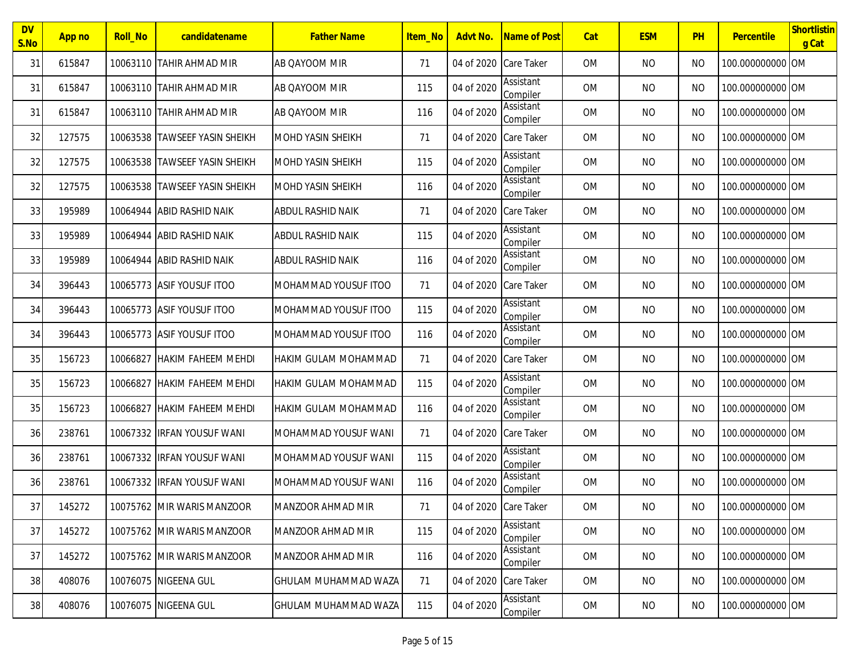| <b>DV</b><br>S.No | App no | <b>Roll_No</b> | candidatename                 | <b>Father Name</b>          | Item_No | Advt No.              | Name of Post                 | Cat       | <b>ESM</b> | PH        | Percentile       | Shortlistin<br>g Cat |
|-------------------|--------|----------------|-------------------------------|-----------------------------|---------|-----------------------|------------------------------|-----------|------------|-----------|------------------|----------------------|
| 31                | 615847 |                | 10063110 TAHIR AHMAD MIR      | AB QAYOOM MIR               | 71      | 04 of 2020 Care Taker |                              | <b>OM</b> | <b>NO</b>  | <b>NO</b> | 100.000000000 OM |                      |
| 31                | 615847 |                | 10063110 TAHIR AHMAD MIR      | AB OAYOOM MIR               | 115     | 04 of 2020            | Assistant<br>Compiler        | 0M        | <b>NO</b>  | <b>NO</b> | 100.000000000 OM |                      |
| 31                | 615847 |                | 10063110 TAHIR AHMAD MIR      | AB QAYOOM MIR               | 116     | 04 of 2020            | Assistant<br>Compiler        | <b>OM</b> | <b>NO</b>  | <b>NO</b> | 100.000000000 OM |                      |
| 32                | 127575 |                | 10063538 TAWSEEF YASIN SHEIKH | <b>MOHD YASIN SHEIKH</b>    | 71      | 04 of 2020            | <b>Care Taker</b>            | OM        | <b>NO</b>  | <b>NO</b> | 100.000000000 OM |                      |
| 32                | 127575 |                | 10063538 TAWSEEF YASIN SHEIKH | <b>MOHD YASIN SHEIKH</b>    | 115     | 04 of 2020            | Assistant<br>Compiler        | <b>OM</b> | <b>NO</b>  | <b>NO</b> | 100.000000000 OM |                      |
| 32                | 127575 |                | 10063538 TAWSEEF YASIN SHEIKH | <b>MOHD YASIN SHEIKH</b>    | 116     | 04 of 2020            | Assistant<br>Compiler        | OM        | <b>NO</b>  | <b>NO</b> | 100.000000000 OM |                      |
| 33                | 195989 |                | 10064944 ABID RASHID NAIK     | <b>ABDUL RASHID NAIK</b>    | 71      | 04 of 2020            | <b>Care Taker</b>            | 0M        | <b>NO</b>  | <b>NO</b> | 100.000000000 OM |                      |
| 33                | 195989 | 10064944       | <b>ABID RASHID NAIK</b>       | <b>ABDUL RASHID NAIK</b>    | 115     | 04 of 2020            | <b>Assistant</b><br>Compiler | <b>OM</b> | <b>NO</b>  | <b>NO</b> | 100.000000000 OM |                      |
| 33                | 195989 |                | 10064944   ABID RASHID NAIK   | ABDUL RASHID NAIK           | 116     | 04 of 2020            | Assistant<br>Compiler        | 0M        | <b>NO</b>  | <b>NO</b> | 100.000000000 OM |                      |
| 34                | 396443 |                | 10065773 ASIF YOUSUF ITOO     | MOHAMMAD YOUSUF ITOO        | 71      | 04 of 2020 Care Taker |                              | <b>OM</b> | <b>NO</b>  | <b>NO</b> | 100.000000000 OM |                      |
| 34                | 396443 |                | 10065773 ASIF YOUSUF ITOO     | <b>MOHAMMAD YOUSUF ITOO</b> | 115     | 04 of 2020            | Assistant<br>Compiler        | 0M        | <b>NO</b>  | <b>NO</b> | 100.000000000 OM |                      |
| 34                | 396443 |                | 10065773 ASIF YOUSUF ITOO     | MOHAMMAD YOUSUF ITOO        | 116     | 04 of 2020            | Assistant<br>Compiler        | <b>OM</b> | <b>NO</b>  | <b>NO</b> | 100.000000000 OM |                      |
| 35                | 156723 | 10066827       | <b>HAKIM FAHEEM MEHDI</b>     | <b>HAKIM GULAM MOHAMMAD</b> | 71      | 04 of 2020            | <b>Care Taker</b>            | <b>OM</b> | <b>NO</b>  | <b>NO</b> | 100.000000000 OM |                      |
| 35                | 156723 | 10066827       | <b>HAKIM FAHEEM MEHDI</b>     | <b>HAKIM GULAM MOHAMMAD</b> | 115     | 04 of 2020            | Assistant<br>Compiler        | OM        | <b>NO</b>  | <b>NO</b> | 100.000000000 OM |                      |
| 35                | 156723 | 10066827       | <b>HAKIM FAHEEM MEHDI</b>     | <b>HAKIM GULAM MOHAMMAD</b> | 116     | 04 of 2020            | Assistant<br>Compiler        | <b>OM</b> | <b>NO</b>  | <b>NO</b> | 100.000000000 OM |                      |
| 36                | 238761 |                | 10067332 IRFAN YOUSUF WANI    | IMOHAMMAD YOUSUF WANI       | 71      | 04 of 2020 Care Taker |                              | <b>OM</b> | <b>NO</b>  | <b>NO</b> | 100.000000000 OM |                      |
| 36                | 238761 |                | 10067332 IRFAN YOUSUF WANI    | MOHAMMAD YOUSUF WANI        | 115     | 04 of 2020            | Assistant<br>Compiler        | 0M        | <b>NO</b>  | <b>NO</b> | 100.000000000 OM |                      |
| 36                | 238761 |                | 10067332 IRFAN YOUSUF WANI    | MOHAMMAD YOUSUF WANI        | 116     | 04 of 2020            | Assistant<br>Compiler        | <b>OM</b> | <b>NO</b>  | <b>NO</b> | 100.000000000 OM |                      |
| 37                | 145272 |                | 10075762 MIR WARIS MANZOOR    | MANZOOR AHMAD MIR           | 71      | 04 of 2020 Care Taker |                              | <b>OM</b> | <b>NO</b>  | <b>NO</b> | 100.000000000 OM |                      |
| 37                | 145272 |                | 10075762 MIR WARIS MANZOOR    | MANZOOR AHMAD MIR           | 115     | 04 of 2020            | Assistant<br>Compiler        | OM        | <b>NO</b>  | <b>NO</b> | 100.000000000 OM |                      |
| 37                | 145272 |                | 10075762 MIR WARIS MANZOOR    | MANZOOR AHMAD MIR           | 116     | 04 of 2020            | Assistant<br>Compiler        | OM        | NO         | <b>NO</b> | 100.000000000 OM |                      |
| 38                | 408076 |                | 10076075 NIGEENA GUL          | <b>GHULAM MUHAMMAD WAZA</b> | 71      | 04 of 2020 Care Taker |                              | 0M        | NO         | <b>NO</b> | 100.000000000 OM |                      |
| 38                | 408076 |                | 10076075 NIGEENA GUL          | <b>GHULAM MUHAMMAD WAZA</b> | 115     | 04 of 2020            | Assistant<br>Compiler        | OM        | NO         | <b>NO</b> | 100.000000000 OM |                      |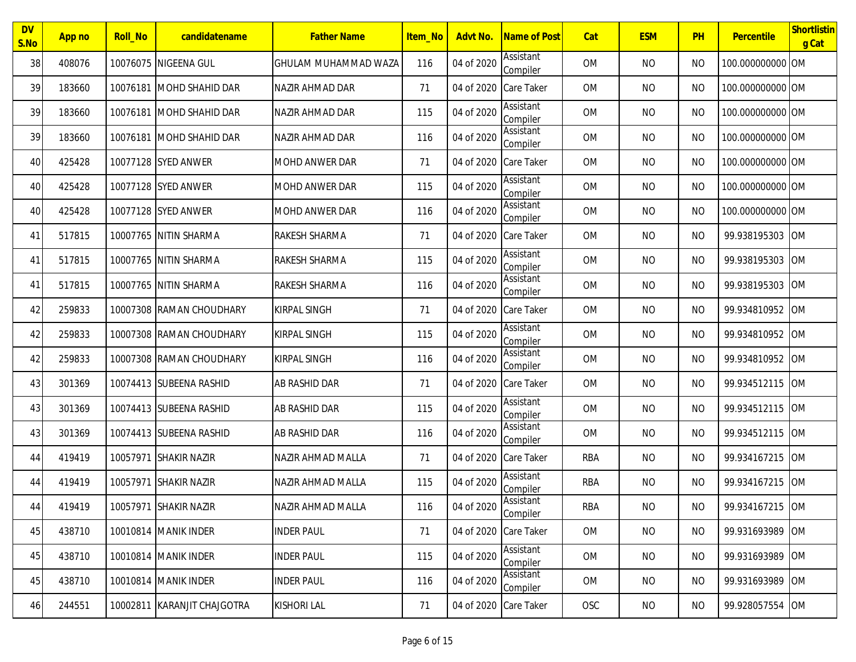| <b>DV</b><br>S.No | App no | <b>Roll_No</b> | candidatename               | <b>Father Name</b>          | Item_No | Advt No.              | Name of Post          | Cat        | <b>ESM</b> | PH        | Percentile       | Shortlistin<br>g Cat |
|-------------------|--------|----------------|-----------------------------|-----------------------------|---------|-----------------------|-----------------------|------------|------------|-----------|------------------|----------------------|
| 38                | 408076 |                | 10076075 NIGEENA GUL        | <b>GHULAM MUHAMMAD WAZA</b> | 116     | 04 of 2020            | Assistant<br>Compiler | 0M         | <b>NO</b>  | <b>NO</b> | 100.000000000 OM |                      |
| 39                | 183660 | 10076181       | <b>IMOHD SHAHID DAR</b>     | <b>NAZIR AHMAD DAR</b>      | 71      | 04 of 2020            | <b>Care Taker</b>     | <b>OM</b>  | <b>NO</b>  | <b>NO</b> | 100.000000000 OM |                      |
| 39                | 183660 | 10076181       | <b>IMOHD SHAHID DAR</b>     | NAZIR AHMAD DAR             | 115     | 04 of 2020            | Assistant<br>Compiler | <b>OM</b>  | <b>NO</b>  | <b>NO</b> | 100.000000000 OM |                      |
| 39                | 183660 |                | 10076181 IMOHD SHAHID DAR   | NAZIR AHMAD DAR             | 116     | 04 of 2020            | Assistant<br>Compiler | <b>OM</b>  | <b>NO</b>  | <b>NO</b> | 100.000000000 OM |                      |
| 40                | 425428 |                | 10077128 SYED ANWER         | <b>MOHD ANWER DAR</b>       | 71      | 04 of 2020 Care Taker |                       | <b>OM</b>  | <b>NO</b>  | <b>NO</b> | 100.000000000 OM |                      |
| 40                | 425428 |                | 10077128 SYED ANWER         | <b>MOHD ANWER DAR</b>       | 115     | 04 of 2020            | Assistant<br>Compiler | 0M         | <b>NO</b>  | <b>NO</b> | 100.000000000 OM |                      |
| 40                | 425428 |                | 10077128 SYED ANWER         | MOHD ANWER DAR              | 116     | 04 of 2020            | Assistant<br>Compiler | <b>OM</b>  | <b>NO</b>  | NO        | 100.000000000 OM |                      |
| 41                | 517815 |                | 10007765 NITIN SHARMA       | RAKESH SHARMA               | 71      | 04 of 2020            | <b>Care Taker</b>     | <b>OM</b>  | <b>NO</b>  | <b>NO</b> | 99.938195303     | <b>IOM</b>           |
| 41                | 517815 |                | 10007765 NITIN SHARMA       | RAKESH SHARMA               | 115     | 04 of 2020            | Assistant<br>Compiler | <b>OM</b>  | <b>NO</b>  | <b>NO</b> | 99.938195303     | <b>OM</b>            |
| 41                | 517815 |                | 10007765 NITIN SHARMA       | RAKESH SHARMA               | 116     | 04 of 2020            | Assistant<br>Compiler | <b>OM</b>  | <b>NO</b>  | <b>NO</b> | 99.938195303     | <b>OM</b>            |
| 42                | 259833 |                | 10007308 RAMAN CHOUDHARY    | <b>KIRPAL SINGH</b>         | 71      | 04 of 2020 Care Taker |                       | 0M         | <b>NO</b>  | <b>NO</b> | 99.934810952     | <b>OM</b>            |
| 42                | 259833 |                | 10007308 RAMAN CHOUDHARY    | <b>KIRPAL SINGH</b>         | 115     | 04 of 2020            | Assistant<br>Compiler | <b>OM</b>  | <b>NO</b>  | <b>NO</b> | 99.934810952     | <b>OM</b>            |
| 42                | 259833 |                | 10007308 RAMAN CHOUDHARY    | <b>KIRPAL SINGH</b>         | 116     | 04 of 2020            | Assistant<br>Compiler | <b>OM</b>  | <b>NO</b>  | <b>NO</b> | 99.934810952     | <b>OM</b>            |
| 43                | 301369 |                | 10074413 SUBEENA RASHID     | AB RASHID DAR               | 71      | 04 of 2020            | Care Taker            | <b>OM</b>  | <b>NO</b>  | <b>NO</b> | 99.934512115     | <b>OM</b>            |
| 43                | 301369 |                | 10074413 SUBEENA RASHID     | <b>AB RASHID DAR</b>        | 115     | 04 of 2020            | Assistant<br>Compiler | <b>OM</b>  | <b>NO</b>  | <b>NO</b> | 99.934512115     | <b>OM</b>            |
| 43                | 301369 |                | 10074413 SUBEENA RASHID     | AB RASHID DAR               | 116     | 04 of 2020            | Assistant<br>Compiler | 0M         | <b>NO</b>  | <b>NO</b> | 99.934512115     | <b>OM</b>            |
| 44                | 419419 |                | 10057971 SHAKIR NAZIR       | NAZIR AHMAD MALLA           | 71      | 04 of 2020            | <b>Care Taker</b>     | <b>RBA</b> | <b>NO</b>  | <b>NO</b> | 99.934167215     | <b>OM</b>            |
| 44                | 419419 | 10057971       | <b>SHAKIR NAZIR</b>         | NAZIR AHMAD MALLA           | 115     | 04 of 2020            | Assistant<br>Compiler | RBA        | <b>NO</b>  | <b>NO</b> | 99.934167215     | <b>OM</b>            |
| 44                | 419419 |                | 10057971 SHAKIR NAZIR       | NAZIR AHMAD MALLA           | 116     | 04 of 2020            | Assistant<br>Compiler | <b>RBA</b> | <b>NO</b>  | <b>NO</b> | 99.934167215 OM  |                      |
| 45                | 438710 |                | 10010814 MANIK INDER        | <b>INDER PAUL</b>           | 71      | 04 of 2020 Care Taker |                       | OM         | <b>NO</b>  | <b>NO</b> | 99.931693989 OM  |                      |
| 45                | 438710 |                | 10010814 MANIK INDER        | <b>INDER PAUL</b>           | 115     | 04 of 2020            | Assistant<br>Compiler | OM         | NO         | NO        | 99.931693989     | <b>OM</b>            |
| 45                | 438710 |                | 10010814 MANIK INDER        | <b>INDER PAUL</b>           | 116     | 04 of 2020            | Assistant<br>Compiler | OM         | <b>NO</b>  | <b>NO</b> | 99.931693989     | <b>OM</b>            |
| 46                | 244551 |                | 10002811 KARANJIT CHAJGOTRA | <b>KISHORI LAL</b>          | 71      | 04 of 2020 Care Taker |                       | OSC        | NO         | <b>NO</b> | 99.928057554     | <b>OM</b>            |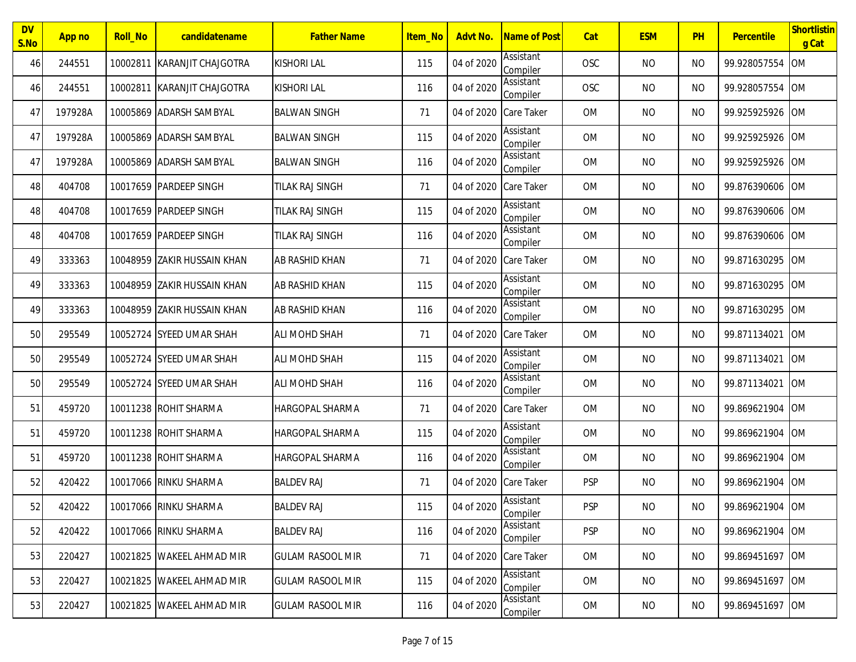| <b>DV</b><br>S.No | App no  | <b>Roll_No</b> | candidatename                | <b>Father Name</b>      | Item_No | Advt No.              | Name of Post                 | Cat        | <b>ESM</b> | PH        | Percentile      | Shortlistin<br>g Cat |
|-------------------|---------|----------------|------------------------------|-------------------------|---------|-----------------------|------------------------------|------------|------------|-----------|-----------------|----------------------|
| 46                | 244551  | 10002811       | KARANJIT CHAJGOTRA           | <b>KISHORI LAL</b>      | 115     | 04 of 2020            | Assistant<br>Compiler        | <b>OSC</b> | <b>NO</b>  | <b>NO</b> | 99.928057554    | <b>OM</b>            |
| 46                | 244551  | 10002811       | KARANJIT CHAJGOTRA           | <b>KISHORI LAL</b>      | 116     | 04 of 2020            | Assistant<br>Compiler        | OSC        | <b>NO</b>  | ΝO        | 99.928057554    | <b>OM</b>            |
| 47                | 197928A |                | 10005869 ADARSH SAMBYAL      | <b>BALWAN SINGH</b>     | 71      | 04 of 2020            | <b>Care Taker</b>            | <b>OM</b>  | <b>NO</b>  | <b>NO</b> | 99.925925926    | <b>OM</b>            |
| 47                | 197928A |                | 10005869 ADARSH SAMBYAL      | <b>BALWAN SINGH</b>     | 115     | 04 of 2020            | Assistant<br>Compiler        | <b>OM</b>  | <b>NO</b>  | <b>NO</b> | 99.925925926    | <b>OM</b>            |
| 47                | 197928A |                | 10005869 ADARSH SAMBYAL      | <b>BALWAN SINGH</b>     | 116     | 04 of 2020            | Assistant<br>Compiler        | <b>OM</b>  | <b>NO</b>  | <b>NO</b> | 99.925925926    | <b>OM</b>            |
| 48                | 404708  |                | 10017659 PARDEEP SINGH       | TILAK RAJ SINGH         | 71      | 04 of 2020 Care Taker |                              | <b>OM</b>  | <b>NO</b>  | <b>NO</b> | 99.876390606    | <b>OM</b>            |
| 48                | 404708  |                | 10017659 PARDEEP SINGH       | TILAK RAJ SINGH         | 115     | 04 of 2020            | Assistant<br>Compiler        | <b>OM</b>  | <b>NO</b>  | ΝO        | 99.876390606    | <b>OM</b>            |
| 48                | 404708  |                | 10017659 PARDEEP SINGH       | TILAK RAJ SINGH         | 116     | 04 of 2020            | Assistant<br>Compiler        | <b>OM</b>  | <b>NO</b>  | ΝO        | 99.876390606    | <b>OM</b>            |
| 49                | 333363  |                | 10048959  ZAKIR HUSSAIN KHAN | <b>AB RASHID KHAN</b>   | 71      | 04 of 2020            | <b>Care Taker</b>            | <b>OM</b>  | <b>NO</b>  | <b>NO</b> | 99.871630295    | <b>OM</b>            |
| 49                | 333363  |                | 10048959 ZAKIR HUSSAIN KHAN  | <b>AB RASHID KHAN</b>   | 115     | 04 of 2020            | Assistant<br>Compiler        | <b>OM</b>  | <b>NO</b>  | <b>NO</b> | 99.871630295    | <b>OM</b>            |
| 49                | 333363  |                | 10048959 ZAKIR HUSSAIN KHAN  | <b>AB RASHID KHAN</b>   | 116     | 04 of 2020            | Assistant<br>Compiler        | <b>OM</b>  | <b>NO</b>  | <b>NO</b> | 99.871630295    | <b>OM</b>            |
| 50                | 295549  |                | 10052724 SYEED UMAR SHAH     | <b>ALI MOHD SHAH</b>    | 71      | 04 of 2020 Care Taker |                              | <b>OM</b>  | <b>NO</b>  | <b>NO</b> | 99.871134021    | <b>OM</b>            |
| 50                | 295549  |                | 10052724 SYEED UMAR SHAH     | <b>ALI MOHD SHAH</b>    | 115     | 04 of 2020            | <b>Assistant</b><br>Compiler | <b>OM</b>  | <b>NO</b>  | <b>NO</b> | 99.871134021    | <b>OM</b>            |
| 50                | 295549  |                | 10052724 SYEED UMAR SHAH     | <b>ALI MOHD SHAH</b>    | 116     | 04 of 2020            | Assistant<br>Compiler        | <b>OM</b>  | <b>NO</b>  | <b>NO</b> | 99.871134021    | <b>OM</b>            |
| 51                | 459720  |                | 10011238 ROHIT SHARMA        | <b>HARGOPAL SHARMA</b>  | 71      | 04 of 2020 Care Taker |                              | <b>OM</b>  | <b>NO</b>  | <b>NO</b> | 99.869621904    | <b>OM</b>            |
| 51                | 459720  |                | 10011238 ROHIT SHARMA        | <b>HARGOPAL SHARMA</b>  | 115     | 04 of 2020            | Assistant<br>Compiler        | <b>OM</b>  | <b>NO</b>  | <b>NO</b> | 99.869621904    | <b>OM</b>            |
| 51                | 459720  |                | 10011238 ROHIT SHARMA        | <b>HARGOPAL SHARMA</b>  | 116     | 04 of 2020            | Assistant<br>Compiler        | <b>OM</b>  | <b>NO</b>  | ΝO        | 99.869621904    | <b>OM</b>            |
| 52                | 420422  |                | 10017066 RINKU SHARMA        | <b>BALDEV RAJ</b>       | 71      | 04 of 2020 Care Taker |                              | <b>PSP</b> | <b>NO</b>  | <b>NO</b> | 99.869621904    | <b>OM</b>            |
| 52                | 420422  |                | 10017066 RINKU SHARMA        | <b>BALDEV RAJ</b>       | 115     | 04 of 2020            | Assistant<br>Compiler        | <b>PSP</b> | <b>NO</b>  | <b>NO</b> | 99.869621904 OM |                      |
| 52                | 420422  |                | 10017066 RINKU SHARMA        | <b>BALDEV RAJ</b>       | 116     | 04 of 2020            | Assistant<br>Compiler        | <b>PSP</b> | <b>NO</b>  | <b>NO</b> | 99.869621904    | <b>OM</b>            |
| 53                | 220427  |                | 10021825 WAKEEL AHMAD MIR    | <b>GULAM RASOOL MIR</b> | 71      | 04 of 2020 Care Taker |                              | OM         | <b>NO</b>  | NO        | 99.869451697    | <b>OM</b>            |
| 53                | 220427  |                | 10021825 WAKEEL AHMAD MIR    | <b>GULAM RASOOL MIR</b> | 115     | 04 of 2020            | Assistant<br>Compiler        | <b>OM</b>  | <b>NO</b>  | NO        | 99.869451697    | <b>OM</b>            |
| 53                | 220427  |                | 10021825 WAKEEL AHMAD MIR    | <b>GULAM RASOOL MIR</b> | 116     | 04 of 2020            | Assistant<br>Compiler        | <b>OM</b>  | NO         | <b>NO</b> | 99.869451697    | <b>OM</b>            |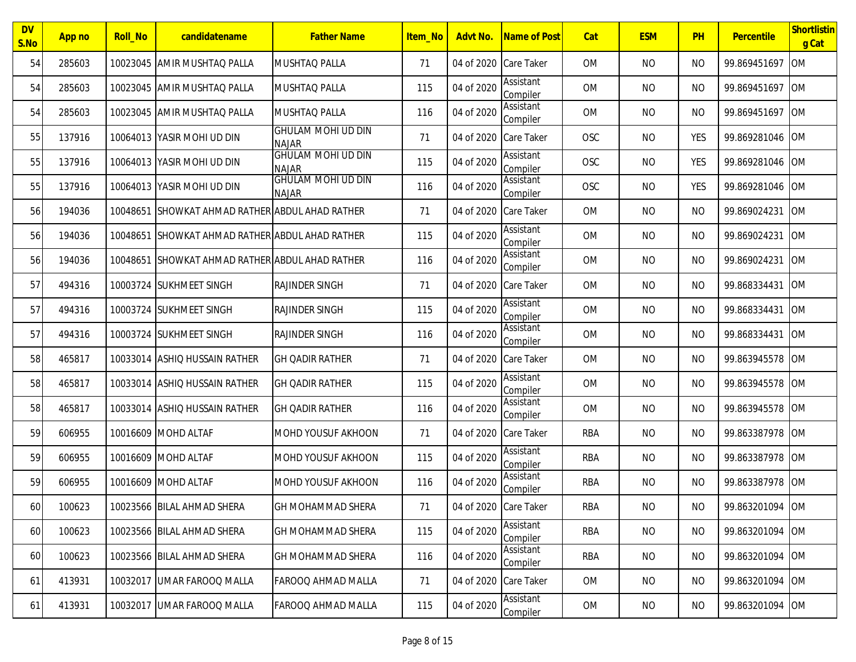| <b>DV</b><br>S.No | App no | <b>Roll_No</b> | candidatename                          | <b>Father Name</b>                        | <b>Item No</b> | Advt No.              | Name of Post                 | Cat        | <b>ESM</b> | PH             | Percentile      | Shortlistin<br>g Cat |
|-------------------|--------|----------------|----------------------------------------|-------------------------------------------|----------------|-----------------------|------------------------------|------------|------------|----------------|-----------------|----------------------|
| 54                | 285603 |                | 10023045 AMIR MUSHTAQ PALLA            | MUSHTAQ PALLA                             | 71             | 04 of 2020 Care Taker |                              | <b>OM</b>  | <b>NO</b>  | <b>NO</b>      | 99.869451697    | <b>OM</b>            |
| 54                | 285603 |                | 10023045 AMIR MUSHTAQ PALLA            | MUSHTAQ PALLA                             | 115            | 04 of 2020            | Assistant<br>Compiler        | <b>OM</b>  | <b>NO</b>  | <b>NO</b>      | 99.869451697    | <b>OM</b>            |
| 54                | 285603 |                | 10023045 AMIR MUSHTAQ PALLA            | <b>MUSHTAO PALLA</b>                      | 116            | 04 of 2020            | Assistant<br>Compiler        | <b>OM</b>  | <b>NO</b>  | <b>NO</b>      | 99.869451697    | <b>OM</b>            |
| 55                | 137916 |                | 10064013 YASIR MOHI UD DIN             | <b>GHULAM MOHI UD DIN</b><br><b>NAJAR</b> | 71             | 04 of 2020            | <b>Care Taker</b>            | OSC        | <b>NO</b>  | <b>YES</b>     | 99.869281046    | <b>OM</b>            |
| 55                | 137916 |                | 10064013 YASIR MOHI UD DIN             | <b>GHULAM MOHI UD DIN</b><br><b>NAJAR</b> | 115            | 04 of 2020            | Assistant<br>Compiler        | OSC        | <b>NO</b>  | <b>YES</b>     | 99.869281046    | <b>OM</b>            |
| 55                | 137916 |                | 10064013 YASIR MOHI UD DIN             | <b>GHULAM MOHI UD DIN</b><br><b>NAJAR</b> | 116            | 04 of 2020            | Assistant<br>Compiler        | OSC        | <b>NO</b>  | <b>YES</b>     | 99.869281046    | <b>OM</b>            |
| 56                | 194036 | 10048651       | SHOWKAT AHMAD RATHER ABDUL AHAD RATHER |                                           | 71             | 04 of 2020            | <b>Care Taker</b>            | 0M         | <b>NO</b>  | <b>NO</b>      | 99.869024231    | <b>OM</b>            |
| 56                | 194036 | 10048651       | SHOWKAT AHMAD RATHER ABDUL AHAD RATHER |                                           | 115            | 04 of 2020            | <b>Assistant</b><br>Compiler | <b>OM</b>  | <b>NO</b>  | <b>NO</b>      | 99.869024231    | <b>OM</b>            |
| 56                | 194036 | 10048651       | SHOWKAT AHMAD RATHER ABDUL AHAD RATHER |                                           | 116            | 04 of 2020            | Assistant<br>Compiler        | 0M         | <b>NO</b>  | <b>NO</b>      | 99.869024231    | <b>OM</b>            |
| 57                | 494316 |                | 10003724 SUKHMEET SINGH                | <b>RAJINDER SINGH</b>                     | 71             | 04 of 2020 Care Taker |                              | 0M         | <b>NO</b>  | <b>NO</b>      | 99.868334431    | <b>OM</b>            |
| 57                | 494316 |                | 10003724 SUKHMEET SINGH                | <b>RAJINDER SINGH</b>                     | 115            | 04 of 2020            | Assistant<br>Compiler        | 0M         | <b>NO</b>  | <b>NO</b>      | 99.868334431    | <b>OM</b>            |
| 57                | 494316 |                | 10003724 SUKHMEET SINGH                | <b>RAJINDER SINGH</b>                     | 116            | 04 of 2020            | Assistant<br>Compiler        | <b>OM</b>  | <b>NO</b>  | <b>NO</b>      | 99.868334431    | <b>OM</b>            |
| 58                | 465817 |                | 10033014 ASHIQ HUSSAIN RATHER          | <b>GH QADIR RATHER</b>                    | 71             | 04 of 2020            | Care Taker                   | <b>OM</b>  | <b>NO</b>  | <b>NO</b>      | 99.863945578    | <b>OM</b>            |
| 58                | 465817 |                | 10033014 ASHIQ HUSSAIN RATHER          | <b>GH QADIR RATHER</b>                    | 115            | 04 of 2020            | Assistant<br>Compiler        | 0M         | <b>NO</b>  | <b>NO</b>      | 99.863945578    | <b>OM</b>            |
| 58                | 465817 |                | 10033014 ASHIQ HUSSAIN RATHER          | <b>GH QADIR RATHER</b>                    | 116            | 04 of 2020            | Assistant<br>Compiler        | OM         | <b>NO</b>  | <b>NO</b>      | 99.863945578    | <b>OM</b>            |
| 59                | 606955 |                | 10016609 MOHD ALTAF                    | <b>MOHD YOUSUF AKHOON</b>                 | 71             | 04 of 2020 Care Taker |                              | <b>RBA</b> | <b>NO</b>  | N <sub>O</sub> | 99.863387978    | <b>OM</b>            |
| 59                | 606955 |                | 10016609 MOHD ALTAF                    | MOHD YOUSUF AKHOON                        | 115            | 04 of 2020            | Assistant<br>Compiler        | RBA        | <b>NO</b>  | <b>NO</b>      | 99.863387978    | <b>OM</b>            |
| 59                | 606955 |                | 10016609 MOHD ALTAF                    | MOHD YOUSUF AKHOON                        | 116            | 04 of 2020            | Assistant<br>Compiler        | <b>RBA</b> | <b>NO</b>  | <b>NO</b>      | 99.863387978    | <b>OM</b>            |
| 60                | 100623 |                | 10023566 BILAL AHMAD SHERA             | <b>GH MOHAMMAD SHERA</b>                  | 71             | 04 of 2020 Care Taker |                              | <b>RBA</b> | <b>NO</b>  | <b>NO</b>      | 99.863201094 OM |                      |
| 60                | 100623 |                | 10023566 BILAL AHMAD SHERA             | <b>GH MOHAMMAD SHERA</b>                  | 115            | 04 of 2020            | Assistant<br>Compiler        | <b>RBA</b> | <b>NO</b>  | <b>NO</b>      | 99.863201094 OM |                      |
| 60                | 100623 |                | 10023566 BILAL AHMAD SHERA             | <b>GH MOHAMMAD SHERA</b>                  | 116            | 04 of 2020            | Assistant<br>Compiler        | RBA        | <b>NO</b>  | <b>NO</b>      | 99.863201094    | <b>OM</b>            |
| 61                | 413931 |                | 10032017 UMAR FAROOQ MALLA             | <b>FAROOQ AHMAD MALLA</b>                 | 71             | 04 of 2020 Care Taker |                              | 0M         | <b>NO</b>  | <b>NO</b>      | 99.863201094    | <b>OM</b>            |
| 61                | 413931 |                | 10032017 UMAR FAROOQ MALLA             | FAROOQ AHMAD MALLA                        | 115            | 04 of 2020            | Assistant<br>Compiler        | OM         | NO         | <b>NO</b>      | 99.863201094    | <b>OM</b>            |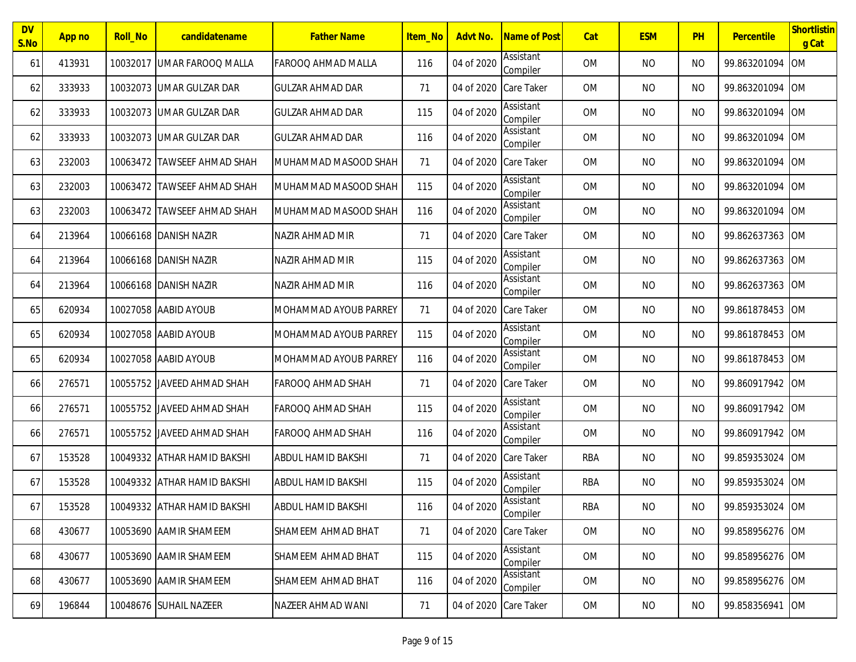| <b>DV</b><br>S.No | App no | <b>Roll_No</b> | candidatename               | <b>Father Name</b>        | Item_No | Advt No.              | Name of Post          | Cat        | <b>ESM</b> | PH        | Percentile      | Shortlistin<br>g Cat |
|-------------------|--------|----------------|-----------------------------|---------------------------|---------|-----------------------|-----------------------|------------|------------|-----------|-----------------|----------------------|
| 61                | 413931 | 10032017       | <b>JUMAR FAROOQ MALLA</b>   | FAROOQ AHMAD MALLA        | 116     | 04 of 2020            | Assistant<br>Compiler | 0M         | <b>NO</b>  | <b>NO</b> | 99.863201094    | <b>OM</b>            |
| 62                | 333933 |                | 10032073 UMAR GULZAR DAR    | <b>GULZAR AHMAD DAR</b>   | 71      | 04 of 2020            | <b>Care Taker</b>     | <b>OM</b>  | <b>NO</b>  | <b>NO</b> | 99.863201094    | <b>OM</b>            |
| 62                | 333933 |                | 10032073 UMAR GULZAR DAR    | <b>GULZAR AHMAD DAR</b>   | 115     | 04 of 2020            | Assistant<br>Compiler | <b>OM</b>  | <b>NO</b>  | <b>NO</b> | 99.863201094    | <b>OM</b>            |
| 62                | 333933 |                | 10032073 UMAR GULZAR DAR    | <b>GULZAR AHMAD DAR</b>   | 116     | 04 of 2020            | Assistant<br>Compiler | 0M         | <b>NO</b>  | <b>NO</b> | 99.863201094    | <b>OM</b>            |
| 63                | 232003 |                | 10063472 TAWSEEF AHMAD SHAH | MUHAMMAD MASOOD SHAH      | 71      | 04 of 2020 Care Taker |                       | <b>OM</b>  | <b>NO</b>  | <b>NO</b> | 99.863201094    | <b>OM</b>            |
| 63                | 232003 |                | 10063472 TAWSEEF AHMAD SHAH | MUHAMMAD MASOOD SHAH      | 115     | 04 of 2020            | Assistant<br>Compiler | <b>OM</b>  | <b>NO</b>  | <b>NO</b> | 99.863201094    | <b>OM</b>            |
| 63                | 232003 |                | 10063472 TAWSEEF AHMAD SHAH | MUHAMMAD MASOOD SHAH      | 116     | 04 of 2020            | Assistant<br>Compiler | 0M         | <b>NO</b>  | <b>NO</b> | 99.863201094    | <b>OM</b>            |
| 64                | 213964 |                | 10066168 DANISH NAZIR       | NAZIR AHMAD MIR           | 71      | 04 of 2020            | Care Taker            | <b>OM</b>  | <b>NO</b>  | <b>NO</b> | 99.862637363    | <b>OM</b>            |
| 64                | 213964 |                | 10066168 DANISH NAZIR       | NAZIR AHMAD MIR           | 115     | 04 of 2020            | Assistant<br>Compiler | 0M         | <b>NO</b>  | <b>NO</b> | 99.862637363    | <b>OM</b>            |
| 64                | 213964 |                | 10066168 DANISH NAZIR       | <b>NAZIR AHMAD MIR</b>    | 116     | 04 of 2020            | Assistant<br>Compiler | <b>OM</b>  | <b>NO</b>  | <b>NO</b> | 99.862637363    | <b>OM</b>            |
| 65                | 620934 |                | 10027058 AABID AYOUB        | MOHAMMAD AYOUB PARREY     | 71      | 04 of 2020 Care Taker |                       | 0M         | <b>NO</b>  | <b>NO</b> | 99.861878453    | <b>OM</b>            |
| 65                | 620934 |                | 10027058 AABID AYOUB        | IMOHAMMAD AYOUB PARREY    | 115     | 04 of 2020            | Assistant<br>Compiler | <b>OM</b>  | <b>NO</b>  | <b>NO</b> | 99.861878453    | <b>OM</b>            |
| 65                | 620934 |                | 10027058 AABID AYOUB        | MOHAMMAD AYOUB PARREY     | 116     | 04 of 2020            | Assistant<br>Compiler | <b>OM</b>  | <b>NO</b>  | <b>NO</b> | 99.861878453    | <b>OM</b>            |
| 66                | 276571 |                | 10055752 JAVEED AHMAD SHAH  | <b>FAROOQ AHMAD SHAH</b>  | 71      | 04 of 2020            | <b>Care Taker</b>     | OM         | <b>NO</b>  | <b>NO</b> | 99.860917942    | <b>OM</b>            |
| <b>66</b>         | 276571 |                | 10055752 JAVEED AHMAD SHAH  | <b>FAROOQ AHMAD SHAH</b>  | 115     | 04 of 2020            | Assistant<br>Compiler | <b>OM</b>  | <b>NO</b>  | <b>NO</b> | 99.860917942    | <b>OM</b>            |
| 66                | 276571 |                | 10055752 JAVEED AHMAD SHAH  | FAROOQ AHMAD SHAH         | 116     | 04 of 2020            | Assistant<br>Compiler | OM         | <b>NO</b>  | <b>NO</b> | 99.860917942    | <b>OM</b>            |
| 67                | 153528 |                | 10049332 ATHAR HAMID BAKSHI | <b>ABDUL HAMID BAKSHI</b> | 71      | 04 of 2020            | <b>Care Taker</b>     | <b>RBA</b> | <b>NO</b>  | <b>NO</b> | 99.859353024    | <b>OM</b>            |
| 67                | 153528 |                | 10049332 ATHAR HAMID BAKSHI | <b>ABDUL HAMID BAKSHI</b> | 115     | 04 of 2020            | Assistant<br>Compiler | RBA        | <b>NO</b>  | <b>NO</b> | 99.859353024    | <b>OM</b>            |
| 67                | 153528 |                | 10049332 ATHAR HAMID BAKSHI | <b>ABDUL HAMID BAKSHI</b> | 116     | 04 of 2020            | Assistant<br>Compiler | <b>RBA</b> | <b>NO</b>  | <b>NO</b> | 99.859353024 OM |                      |
| 68                | 430677 |                | 10053690 AAMIR SHAMEEM      | SHAMEEM AHMAD BHAT        | 71      | 04 of 2020 Care Taker |                       | OM         | <b>NO</b>  | <b>NO</b> | 99.858956276 OM |                      |
| 68                | 430677 |                | 10053690 AAMIR SHAMEEM      | SHAMEEM AHMAD BHAT        | 115     | 04 of 2020            | Assistant<br>Compiler | OM         | NO         | <b>NO</b> | 99.858956276    | <b>OM</b>            |
| 68                | 430677 |                | 10053690 AAMIR SHAMEEM      | SHAMEEM AHMAD BHAT        | 116     | 04 of 2020            | Assistant<br>Compiler | 0M         | NO         | <b>NO</b> | 99.858956276    | <b>OM</b>            |
| 69                | 196844 |                | 10048676 SUHAIL NAZEER      | NAZEER AHMAD WANI         | 71      | 04 of 2020            | Care Taker            | OM         | NO         | <b>NO</b> | 99.858356941    | <b>OM</b>            |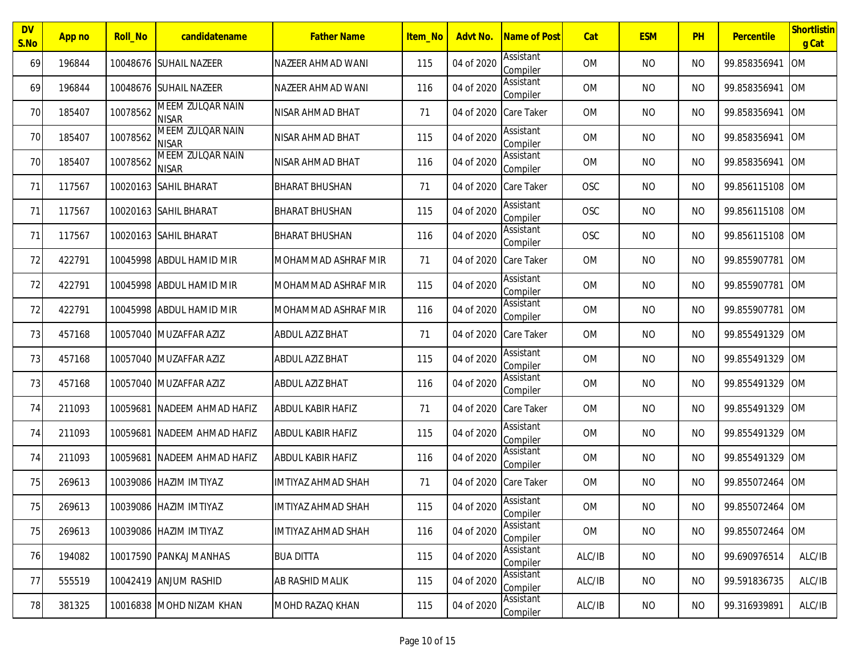| <b>DV</b><br>S.No | App no | <b>Roll_No</b> | candidatename                           | <b>Father Name</b>        | Item No | Advt No.              | <b>Name of Post</b>   | Cat       | <b>ESM</b> | PH        | <b>Percentile</b> | Shortlistin<br>g Cat |
|-------------------|--------|----------------|-----------------------------------------|---------------------------|---------|-----------------------|-----------------------|-----------|------------|-----------|-------------------|----------------------|
| 69                | 196844 |                | 10048676 SUHAIL NAZEER                  | NAZEER AHMAD WANI         | 115     | 04 of 2020            | Assistant<br>Compiler | <b>OM</b> | <b>NO</b>  | <b>NO</b> | 99.858356941      | <b>OM</b>            |
| 69                | 196844 |                | 10048676 SUHAIL NAZEER                  | NAZEER AHMAD WANI         | 116     | 04 of 2020            | Assistant<br>Compiler | <b>OM</b> | <b>NO</b>  | <b>NO</b> | 99.858356941      | <b>OM</b>            |
| 70                | 185407 | 10078562       | MEEM ZULQAR NAIN<br><b>NISAR</b>        | NISAR AHMAD BHAT          | 71      | 04 of 2020            | <b>Care Taker</b>     | <b>OM</b> | <b>NO</b>  | <b>NO</b> | 99.858356941      | <b>OM</b>            |
| 70                | 185407 | 10078562       | MEEM ZULQAR NAIN<br><b>NISAR</b>        | NISAR AHMAD BHAT          | 115     | 04 of 2020            | Assistant<br>Compiler | <b>OM</b> | <b>NO</b>  | <b>NO</b> | 99.858356941      | <b>OM</b>            |
| 70                | 185407 | 10078562       | <b>MEEM ZULQAR NAIN</b><br><b>NISAR</b> | NISAR AHMAD BHAT          | 116     | 04 of 2020            | Assistant<br>Compiler | <b>OM</b> | <b>NO</b>  | <b>NO</b> | 99.858356941      | <b>OM</b>            |
| 71                | 117567 |                | 10020163 SAHIL BHARAT                   | <b>BHARAT BHUSHAN</b>     | 71      | 04 of 2020            | <b>Care Taker</b>     | OSC       | <b>NO</b>  | <b>NO</b> | 99.856115108      | <b>OM</b>            |
| 71                | 117567 |                | 10020163 SAHIL BHARAT                   | <b>BHARAT BHUSHAN</b>     | 115     | 04 of 2020            | Assistant<br>Compiler | OSC       | <b>NO</b>  | <b>NO</b> | 99.856115108      | <b>OM</b>            |
| 71                | 117567 |                | 10020163 SAHIL BHARAT                   | <b>BHARAT BHUSHAN</b>     | 116     | 04 of 2020            | Assistant<br>Compiler | OSC       | <b>NO</b>  | <b>NO</b> | 99.856115108      | <b>OM</b>            |
| 72                | 422791 |                | 10045998 ABDUL HAMID MIR                | MOHAMMAD ASHRAF MIR       | 71      | 04 of 2020 Care Taker |                       | <b>OM</b> | <b>NO</b>  | <b>NO</b> | 99.855907781      | <b>OM</b>            |
| 72                | 422791 |                | 10045998 ABDUL HAMID MIR                | MOHAMMAD ASHRAF MIR       | 115     | 04 of 2020            | Assistant<br>Compiler | <b>OM</b> | <b>NO</b>  | <b>NO</b> | 99.855907781      | <b>OM</b>            |
| 72                | 422791 |                | 10045998 ABDUL HAMID MIR                | MOHAMMAD ASHRAF MIR       | 116     | 04 of 2020            | Assistant<br>Compiler | <b>OM</b> | <b>NO</b>  | <b>NO</b> | 99.855907781      | <b>OM</b>            |
| 73                | 457168 |                | 10057040 MUZAFFAR AZIZ                  | <b>ABDUL AZIZ BHAT</b>    | 71      | 04 of 2020            | <b>Care Taker</b>     | <b>OM</b> | <b>NO</b>  | <b>NO</b> | 99.855491329      | <b>OM</b>            |
| 73                | 457168 |                | 10057040 MUZAFFAR AZIZ                  | <b>ABDUL AZIZ BHAT</b>    | 115     | 04 of 2020            | Assistant<br>Compiler | <b>OM</b> | <b>NO</b>  | <b>NO</b> | 99.855491329      | <b>OM</b>            |
| 73                | 457168 |                | 10057040 MUZAFFAR AZIZ                  | ABDUL AZIZ BHAT           | 116     | 04 of 2020            | Assistant<br>Compiler | <b>OM</b> | <b>NO</b>  | <b>NO</b> | 99.855491329      | <b>OM</b>            |
| 74                | 211093 | 10059681       | NADEEM AHMAD HAFIZ                      | <b>ABDUL KABIR HAFIZ</b>  | 71      | 04 of 2020 Care Taker |                       | <b>OM</b> | <b>NO</b>  | <b>NO</b> | 99.855491329      | <b>OM</b>            |
| 74                | 211093 | 10059681       | NADEEM AHMAD HAFIZ                      | <b>ABDUL KABIR HAFIZ</b>  | 115     | 04 of 2020            | Assistant<br>Compiler | <b>OM</b> | <b>NO</b>  | <b>NO</b> | 99.855491329      | <b>OM</b>            |
| 74                | 211093 | 10059681       | NADEEM AHMAD HAFIZ                      | ABDUL KABIR HAFIZ         | 116     | 04 of 2020            | Assistant<br>Compiler | <b>OM</b> | <b>NO</b>  | <b>NO</b> | 99.855491329      | <b>OM</b>            |
| 75                | 269613 |                | 10039086 HAZIM IMTIYAZ                  | <b>IMTIYAZ AHMAD SHAH</b> | 71      | 04 of 2020 Care Taker |                       | 0M        | <b>NO</b>  | <b>NO</b> | 99.855072464      | <b>IOM</b>           |
| 75                | 269613 |                | 10039086 HAZIM IMTIYAZ                  | <b>IMTIYAZ AHMAD SHAH</b> | 115     | 04 of 2020            | Assistant<br>Compiler | OM        | <b>NO</b>  | <b>NO</b> | 99.855072464 OM   |                      |
| 75                | 269613 |                | 10039086 HAZIM IMTIYAZ                  | <b>IMTIYAZ AHMAD SHAH</b> | 116     | 04 of 2020            | Assistant<br>Compiler | <b>OM</b> | <b>NO</b>  | <b>NO</b> | 99.855072464 OM   |                      |
| 76                | 194082 |                | 10017590 PANKAJ MANHAS                  | <b>BUA DITTA</b>          | 115     | 04 of 2020            | Assistant<br>Compiler | ALC/IB    | <b>NO</b>  | <b>NO</b> | 99.690976514      | ALC/IB               |
| 77                | 555519 |                | 10042419 ANJUM RASHID                   | AB RASHID MALIK           | 115     | 04 of 2020            | Assistant<br>Compiler | ALC/IB    | NO         | NO.       | 99.591836735      | ALC/IB               |
| 78                | 381325 |                | 10016838 MOHD NIZAM KHAN                | MOHD RAZAQ KHAN           | 115     | 04 of 2020            | Assistant<br>Compiler | ALC/IB    | <b>NO</b>  | <b>NO</b> | 99.316939891      | ALC/IB               |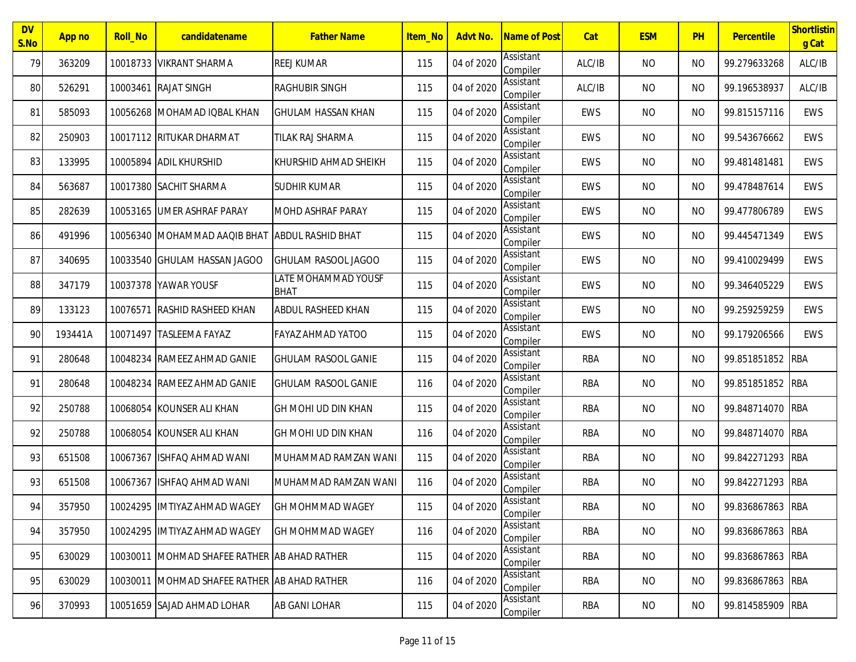| <b>DV</b><br>S.No | App no  | <b>Roll No</b> | candidatename                                | <b>Father Name</b>                 | Item No | Advt No.   | Name of Post          | Cat        | <b>ESM</b> | PH             | <b>Percentile</b> | Shortlistin<br>g Cat |
|-------------------|---------|----------------|----------------------------------------------|------------------------------------|---------|------------|-----------------------|------------|------------|----------------|-------------------|----------------------|
| 79                | 363209  |                | 10018733 VIKRANT SHARMA                      | <b>REEJ KUMAR</b>                  | 115     | 04 of 2020 | Assistant<br>Compiler | ALC/IB     | <b>NO</b>  | <b>NO</b>      | 99.279633268      | ALC/IB               |
| 80                | 526291  |                | 10003461 RAJAT SINGH                         | <b>RAGHUBIR SINGH</b>              | 115     | 04 of 2020 | Assistant<br>Compiler | ALC/IB     | <b>NO</b>  | NO.            | 99.196538937      | ALC/IB               |
| 81                | 585093  | 10056268       | MOHAMAD IQBAL KHAN                           | <b>GHULAM HASSAN KHAN</b>          | 115     | 04 of 2020 | Assistant<br>Compiler | EWS        | <b>NO</b>  | <b>NO</b>      | 99.815157116      | <b>EWS</b>           |
| 82                | 250903  |                | 10017112 RITUKAR DHARMAT                     | TILAK RAJ SHARMA                   | 115     | 04 of 2020 | Assistant<br>Compiler | EWS        | NO         | <b>NO</b>      | 99.543676662      | EWS                  |
| 83                | 133995  |                | 10005894 ADIL KHURSHID                       | KHURSHID AHMAD SHEIKH              | 115     | 04 of 2020 | Assistant<br>Compiler | EWS        | <b>NO</b>  | <b>NO</b>      | 99.481481481      | <b>EWS</b>           |
| 84                | 563687  |                | 10017380 SACHIT SHARMA                       | <b>SUDHIR KUMAR</b>                | 115     | 04 of 2020 | Assistant<br>Compiler | EWS        | <b>NO</b>  | NO.            | 99.478487614      | <b>EWS</b>           |
| 85                | 282639  |                | 10053165 UMER ASHRAF PARAY                   | <b>MOHD ASHRAF PARAY</b>           | 115     | 04 of 2020 | Assistant<br>Compiler | EWS        | <b>NO</b>  | NO.            | 99.477806789      | <b>EWS</b>           |
| 86                | 491996  |                | 10056340 MOHAMMAD AAQIB BHAT                 | <b>ABDUL RASHID BHAT</b>           | 115     | 04 of 2020 | Assistant<br>Compiler | EWS        | <b>NO</b>  | NO.            | 99.445471349      | <b>EWS</b>           |
| 87                | 340695  |                | 10033540 GHULAM HASSAN JAGOO                 | GHULAM RASOOL JAGOO                | 115     | 04 of 2020 | Assistant<br>Compiler | EWS        | <b>NO</b>  | <b>NO</b>      | 99.410029499      | EWS                  |
| 88                | 347179  |                | 10037378 YAWAR YOUSF                         | LATE MOHAMMAD YOUSF<br><b>BHAT</b> | 115     | 04 of 2020 | Assistant<br>Compiler | EWS        | <b>NO</b>  | <b>NO</b>      | 99.346405229      | EWS                  |
| 89                | 133123  | 10076571       | <b>RASHID RASHEED KHAN</b>                   | ABDUL RASHEED KHAN                 | 115     | 04 of 2020 | Assistant<br>Compiler | EWS        | <b>NO</b>  | <b>NO</b>      | 99.259259259      | <b>EWS</b>           |
| 90                | 193441A |                | 10071497 TASLEEMA FAYAZ                      | <b>FAYAZ AHMAD YATOO</b>           | 115     | 04 of 2020 | Assistant<br>Compiler | EWS        | <b>NO</b>  | NO.            | 99.179206566      | <b>EWS</b>           |
| 91                | 280648  | 10048234       | <b>RAMEEZ AHMAD GANIE</b>                    | <b>GHULAM RASOOL GANIE</b>         | 115     | 04 of 2020 | Assistant<br>Compiler | <b>RBA</b> | <b>NO</b>  | <b>NO</b>      | 99.851851852 RBA  |                      |
| 91                | 280648  |                | 10048234 RAMEEZ AHMAD GANIE                  | <b>GHULAM RASOOL GANIE</b>         | 116     | 04 of 2020 | Assistant<br>Compiler | <b>RBA</b> | <b>NO</b>  | <b>NO</b>      | 99.851851852 RBA  |                      |
| 92                | 250788  |                | 10068054 KOUNSER ALI KHAN                    | GH MOHI UD DIN KHAN                | 115     | 04 of 2020 | Assistant<br>Compiler | <b>RBA</b> | <b>NO</b>  | <b>NO</b>      | 99.848714070 RBA  |                      |
| 92                | 250788  |                | 10068054 KOUNSER ALI KHAN                    | GH MOHI UD DIN KHAN                | 116     | 04 of 2020 | Assistant<br>Compiler | RBA        | <b>NO</b>  | NO.            | 99.848714070 RBA  |                      |
| 93                | 651508  | 10067367       | ISHFAQ AHMAD WANI                            | MUHAMMAD RAMZAN WANI               | 115     | 04 of 2020 | Assistant<br>Compiler | <b>RBA</b> | <b>NO</b>  | NO.            | 99.842271293 RBA  |                      |
| 93                | 651508  |                | 10067367 ISHFAO AHMAD WANI                   | MUHAMMAD RAMZAN WANI               | 116     | 04 of 2020 | Assistant<br>Compiler | <b>RBA</b> | <b>NO</b>  | N <sub>O</sub> | 99.842271293 RBA  |                      |
| 94                | 357950  |                | 10024295 IMTIYAZ AHMAD WAGEY                 | <b>GH MOHMMAD WAGEY</b>            | 115     | 04 of 2020 | Assistant<br>Compiler | <b>RBA</b> | <b>NO</b>  | <b>NO</b>      | 99.836867863 RBA  |                      |
| 94                | 357950  |                | 10024295 IMTIYAZ AHMAD WAGEY                 | <b>GH MOHMMAD WAGEY</b>            | 116     | 04 of 2020 | Assistant<br>Compiler | <b>RBA</b> | <b>NO</b>  | <b>NO</b>      | 99.836867863 RBA  |                      |
| 95                | 630029  |                | 10030011 MOHMAD SHAFEE RATHER AB AHAD RATHER |                                    | 115     | 04 of 2020 | Assistant<br>Compiler | RBA        | NO         | <b>NO</b>      | 99.836867863 RBA  |                      |
| 95                | 630029  |                | 10030011 MOHMAD SHAFEE RATHER AB AHAD RATHER |                                    | 116     | 04 of 2020 | Assistant<br>Compiler | RBA        | NO         | NO.            | 99.836867863 RBA  |                      |
| 96                | 370993  |                | 10051659 SAJAD AHMAD LOHAR                   | AB GANI LOHAR                      | 115     | 04 of 2020 | Assistant<br>Compiler | RBA        | <b>NO</b>  | <b>NO</b>      | 99.814585909 RBA  |                      |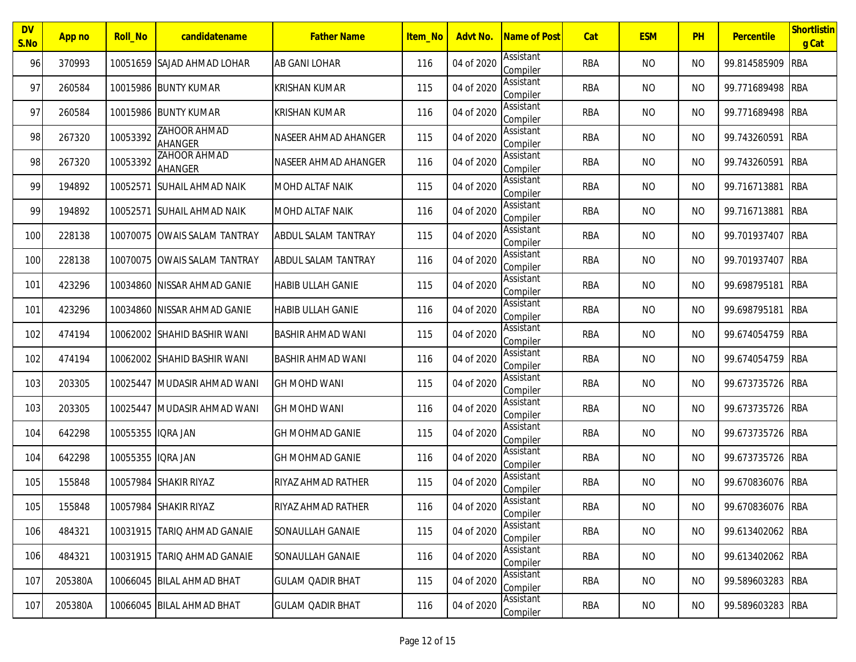| <b>DV</b><br>S.No | App no  | <b>Roll_No</b>    | candidatename                | <b>Father Name</b>         | Item No | Advt No.   | <b>Name of Post</b>   | Cat        | <b>ESM</b> | PH             | <b>Percentile</b> | Shortlistin<br>g Cat |
|-------------------|---------|-------------------|------------------------------|----------------------------|---------|------------|-----------------------|------------|------------|----------------|-------------------|----------------------|
| 96                | 370993  |                   | 10051659 SAJAD AHMAD LOHAR   | <b>AB GANI LOHAR</b>       | 116     | 04 of 2020 | Assistant<br>Compiler | <b>RBA</b> | <b>NO</b>  | <b>NO</b>      | 99.814585909      | <b>RBA</b>           |
| 97                | 260584  |                   | 10015986 BUNTY KUMAR         | <b>KRISHAN KUMAR</b>       | 115     | 04 of 2020 | Assistant<br>Compiler | <b>RBA</b> | <b>NO</b>  | <b>NO</b>      | 99.771689498      | <b>RBA</b>           |
| 97                | 260584  |                   | 10015986 BUNTY KUMAR         | <b>KRISHAN KUMAR</b>       | 116     | 04 of 2020 | Assistant<br>Compiler | <b>RBA</b> | <b>NO</b>  | <b>NO</b>      | 99.771689498      | <b>RBA</b>           |
| 98                | 267320  | 10053392          | ZAHOOR AHMAD<br>AHANGER      | NASEER AHMAD AHANGER       | 115     | 04 of 2020 | Assistant<br>Compiler | <b>RBA</b> | <b>NO</b>  | <b>NO</b>      | 99.743260591      | <b>RBA</b>           |
| 98                | 267320  | 10053392          | ZAHOOR AHMAD<br>AHANGER      | NASEER AHMAD AHANGER       | 116     | 04 of 2020 | Assistant<br>Compiler | <b>RBA</b> | <b>NO</b>  | <b>NO</b>      | 99.743260591      | <b>RBA</b>           |
| 99                | 194892  | 10052571          | <b>SUHAIL AHMAD NAIK</b>     | <b>MOHD ALTAF NAIK</b>     | 115     | 04 of 2020 | Assistant<br>Compiler | <b>RBA</b> | <b>NO</b>  | <b>NO</b>      | 99.716713881      | <b>RBA</b>           |
| 99                | 194892  | 10052571          | <b>SUHAIL AHMAD NAIK</b>     | <b>MOHD ALTAF NAIK</b>     | 116     | 04 of 2020 | Assistant<br>Compiler | <b>RBA</b> | <b>NO</b>  | <b>NO</b>      | 99.716713881      | <b>RBA</b>           |
| 100               | 228138  |                   | 10070075 OWAIS SALAM TANTRAY | ABDUL SALAM TANTRAY        | 115     | 04 of 2020 | Assistant<br>Compiler | <b>RBA</b> | <b>NO</b>  | <b>NO</b>      | 99.701937407      | <b>RBA</b>           |
| 100               | 228138  |                   | 10070075 OWAIS SALAM TANTRAY | <b>ABDUL SALAM TANTRAY</b> | 116     | 04 of 2020 | Assistant<br>Compiler | <b>RBA</b> | <b>NO</b>  | <b>NO</b>      | 99.701937407      | <b>RBA</b>           |
| 101               | 423296  |                   | 10034860 NISSAR AHMAD GANIE  | <b>HABIB ULLAH GANIE</b>   | 115     | 04 of 2020 | Assistant<br>Compiler | <b>RBA</b> | <b>NO</b>  | <b>NO</b>      | 99.698795181      | <b>RBA</b>           |
| 101               | 423296  |                   | 10034860 NISSAR AHMAD GANIE  | <b>HABIB ULLAH GANIE</b>   | 116     | 04 of 2020 | Assistant<br>Compiler | <b>RBA</b> | <b>NO</b>  | <b>NO</b>      | 99.698795181      | <b>RBA</b>           |
| 102               | 474194  |                   | 10062002 SHAHID BASHIR WANI  | <b>BASHIR AHMAD WANI</b>   | 115     | 04 of 2020 | Assistant<br>Compiler | <b>RBA</b> | <b>NO</b>  | <b>NO</b>      | 99.674054759      | <b>RBA</b>           |
| 102               | 474194  | 10062002          | <b>SHAHID BASHIR WANI</b>    | <b>BASHIR AHMAD WANI</b>   | 116     | 04 of 2020 | Assistant<br>Compiler | <b>RBA</b> | <b>NO</b>  | <b>NO</b>      | 99.674054759      | <b>RBA</b>           |
| 103               | 203305  | 10025447          | MUDASIR AHMAD WANI           | <b>GH MOHD WANI</b>        | 115     | 04 of 2020 | Assistant<br>Compiler | <b>RBA</b> | <b>NO</b>  | <b>NO</b>      | 99.673735726      | RBA                  |
| 103               | 203305  | 10025447          | MUDASIR AHMAD WANI           | <b>GH MOHD WANI</b>        | 116     | 04 of 2020 | Assistant<br>Compiler | <b>RBA</b> | <b>NO</b>  | <b>NO</b>      | 99.673735726      | RBA                  |
| 104               | 642298  | 10055355 IORA JAN |                              | <b>GH MOHMAD GANIE</b>     | 115     | 04 of 2020 | Assistant<br>Compiler | RBA        | <b>NO</b>  | <b>NO</b>      | 99.673735726      | <b>RBA</b>           |
| 104               | 642298  | 10055355          | iqra Jan                     | <b>GH MOHMAD GANIE</b>     | 116     | 04 of 2020 | Assistant<br>Compiler | <b>RBA</b> | <b>NO</b>  | <b>NO</b>      | 99.673735726      | <b>RBA</b>           |
| 105               | 155848  |                   | 10057984 SHAKIR RIYAZ        | RIYAZ AHMAD RATHER         | 115     | 04 of 2020 | Assistant<br>Compiler | <b>RBA</b> | <b>NO</b>  | N <sub>O</sub> | 99.670836076      | <b>IRBA</b>          |
| 105               | 155848  |                   | 10057984 SHAKIR RIYAZ        | RIYAZ AHMAD RATHER         | 116     | 04 of 2020 | Assistant<br>Compiler | <b>RBA</b> | <b>NO</b>  | <b>NO</b>      | 99.670836076 RBA  |                      |
| 106               | 484321  |                   | 10031915 TARIQ AHMAD GANAIE  | SONAULLAH GANAIE           | 115     | 04 of 2020 | Assistant<br>Compiler | <b>RBA</b> | <b>NO</b>  | <b>NO</b>      | 99.613402062 RBA  |                      |
| 106               | 484321  |                   | 10031915 TARIQ AHMAD GANAIE  | SONAULLAH GANAIE           | 116     | 04 of 2020 | Assistant<br>Compiler | RBA        | <b>NO</b>  | <b>NO</b>      | 99.613402062 RBA  |                      |
| 107               | 205380A |                   | 10066045 BILAL AHMAD BHAT    | <b>GULAM QADIR BHAT</b>    | 115     | 04 of 2020 | Assistant<br>Compiler | RBA        | <b>NO</b>  | NO.            | 99.589603283 RBA  |                      |
| 107               | 205380A |                   | 10066045 BILAL AHMAD BHAT    | <b>GULAM QADIR BHAT</b>    | 116     | 04 of 2020 | Assistant<br>Compiler | RBA        | <b>NO</b>  | <b>NO</b>      | 99.589603283 RBA  |                      |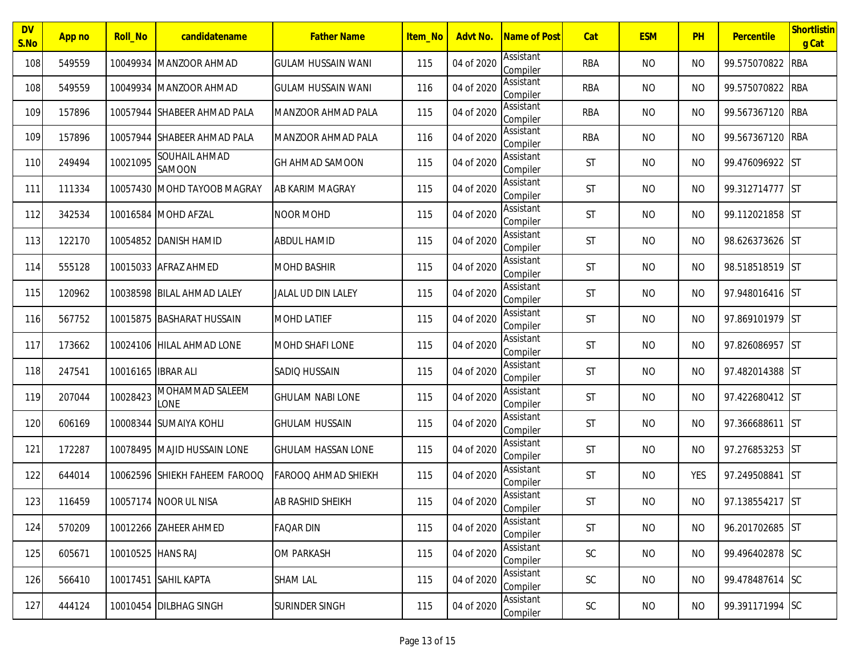| <b>DV</b><br>S.No | App no | <b>Roll_No</b>     | candidatename                 | <b>Father Name</b>        | Item No | Advt No.   | <b>Name of Post</b>   | Cat           | <b>ESM</b> | PH        | Percentile      | Shortlistin<br>g Cat |
|-------------------|--------|--------------------|-------------------------------|---------------------------|---------|------------|-----------------------|---------------|------------|-----------|-----------------|----------------------|
| 108               | 549559 | 10049934           | MANZOOR AHMAD                 | <b>GULAM HUSSAIN WANI</b> | 115     | 04 of 2020 | Assistant<br>Compiler | <b>RBA</b>    | <b>NO</b>  | <b>NO</b> | 99.575070822    | <b>RBA</b>           |
| 108               | 549559 |                    | 10049934 MANZOOR AHMAD        | <b>GULAM HUSSAIN WANI</b> | 116     | 04 of 2020 | Assistant<br>Compiler | <b>RBA</b>    | <b>NO</b>  | <b>NO</b> | 99.575070822    | <b>RBA</b>           |
| 109               | 157896 |                    | 10057944 ISHABEER AHMAD PALA  | MANZOOR AHMAD PALA        | 115     | 04 of 2020 | Assistant<br>Compiler | <b>RBA</b>    | <b>NO</b>  | <b>NO</b> | 99.567367120    | <b>RBA</b>           |
| 109               | 157896 |                    | 10057944 SHABEER AHMAD PALA   | <b>MANZOOR AHMAD PALA</b> | 116     | 04 of 2020 | Assistant<br>Compiler | <b>RBA</b>    | <b>NO</b>  | <b>NO</b> | 99.567367120    | <b>RBA</b>           |
| 110               | 249494 | 10021095           | SOUHAIL AHMAD<br>SAMOON       | <b>GH AHMAD SAMOON</b>    | 115     | 04 of 2020 | Assistant<br>Compiler | ST            | <b>NO</b>  | <b>NO</b> | 99.476096922    | <b>ST</b>            |
| 111               | 111334 |                    | 10057430 MOHD TAYOOB MAGRAY   | AB KARIM MAGRAY           | 115     | 04 of 2020 | Assistant<br>Compiler | ST            | <b>NO</b>  | <b>NO</b> | 99.312714777    | <b>IST</b>           |
| 112               | 342534 |                    | 10016584 MOHD AFZAL           | <b>NOOR MOHD</b>          | 115     | 04 of 2020 | Assistant<br>Compiler | ST            | <b>NO</b>  | <b>NO</b> | 99.112021858 ST |                      |
| 113               | 122170 | 10054852           | <b>DANISH HAMID</b>           | <b>ABDUL HAMID</b>        | 115     | 04 of 2020 | Assistant<br>Compiler | ST            | <b>NO</b>  | <b>NO</b> | 98.626373626 ST |                      |
| 114               | 555128 |                    | 10015033 AFRAZ AHMED          | <b>MOHD BASHIR</b>        | 115     | 04 of 2020 | Assistant<br>Compiler | ST            | <b>NO</b>  | <b>NO</b> | 98.518518519 ST |                      |
| 115               | 120962 |                    | 10038598 BILAL AHMAD LALEY    | <b>JALAL UD DIN LALEY</b> | 115     | 04 of 2020 | Assistant<br>Compiler | ST            | <b>NO</b>  | <b>NO</b> | 97.948016416 ST |                      |
| 116               | 567752 |                    | 10015875 BASHARAT HUSSAIN     | <b>MOHD LATIEF</b>        | 115     | 04 of 2020 | Assistant<br>Compiler | ST            | <b>NO</b>  | <b>NO</b> | 97.869101979 ST |                      |
| 117               | 173662 | 10024106           | HILAL AHMAD LONE              | <b>MOHD SHAFI LONE</b>    | 115     | 04 of 2020 | Assistant<br>Compiler | ST            | <b>NO</b>  | <b>NO</b> | 97.826086957    | <b>ST</b>            |
| 118               | 247541 | 10016165 IBRAR ALI |                               | SADIO HUSSAIN             | 115     | 04 of 2020 | Assistant<br>Compiler | ST            | <b>NO</b>  | <b>NO</b> | 97.482014388 ST |                      |
| 119               | 207044 | 10028423           | MOHAMMAD SALEEM<br>LONE       | <b>GHULAM NABI LONE</b>   | 115     | 04 of 2020 | Assistant<br>Compiler | ST            | <b>NO</b>  | <b>NO</b> | 97.422680412 ST |                      |
| 120               | 606169 | 10008344           | - ISUMAIYA KOHLI              | <b>GHULAM HUSSAIN</b>     | 115     | 04 of 2020 | Assistant<br>Compiler | ST            | <b>NO</b>  | <b>NO</b> | 97.366688611    | <b>ST</b>            |
| 121               | 172287 | 10078495           | <b>MAJID HUSSAIN LONE</b>     | <b>GHULAM HASSAN LONE</b> | 115     | 04 of 2020 | Assistant<br>Compiler | ST            | <b>NO</b>  | <b>NO</b> | 97.276853253    | <b>IST</b>           |
| 122               | 644014 |                    | 10062596 SHIEKH FAHEEM FAROOQ | FAROOQ AHMAD SHIEKH       | 115     | 04 of 2020 | Assistant<br>Compiler | ST            | <b>NO</b>  | YES       | 97.249508841    | <b>IST</b>           |
| 123               | 116459 |                    | 10057174 NOOR UL NISA         | AB RASHID SHEIKH          | 115     | 04 of 2020 | Assistant<br>Compiler | ST            | <b>NO</b>  | <b>NO</b> | 97.138554217 ST |                      |
| 124               | 570209 |                    | 10012266 ZAHEER AHMED         | <b>FAQAR DIN</b>          | 115     | 04 of 2020 | Assistant<br>Compiler | ST            | <b>NO</b>  | NO        | 96.201702685 ST |                      |
| 125               | 605671 | 10010525 HANS RAJ  |                               | <b>OM PARKASH</b>         | 115     | 04 of 2020 | Assistant<br>Compiler | $\mathsf{SC}$ | <b>NO</b>  | NO        | 99.496402878 SC |                      |
| 126               | 566410 |                    | 10017451 SAHIL KAPTA          | <b>SHAM LAL</b>           | 115     | 04 of 2020 | Assistant<br>Compiler | $\mathsf{SC}$ | <b>NO</b>  | <b>NO</b> | 99.478487614 SC |                      |
| 127               | 444124 |                    | 10010454 DILBHAG SINGH        | SURINDER SINGH            | 115     | 04 of 2020 | Assistant<br>Compiler | $\mathsf{SC}$ | <b>NO</b>  | NO.       | 99.391171994 SC |                      |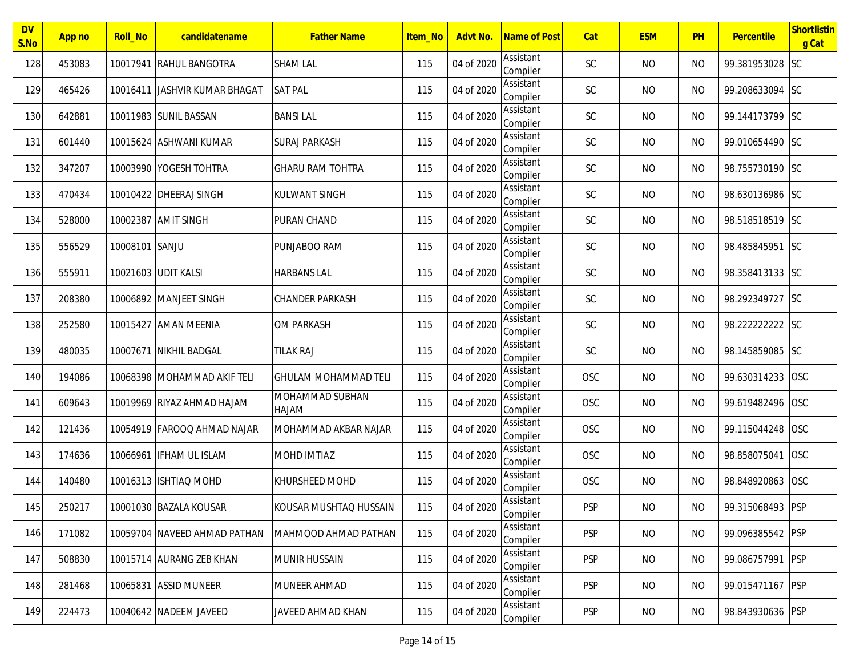| <b>DV</b><br>S.No | App no | <b>Roll_No</b> | candidatename                 | <b>Father Name</b>              | Item_No | Advt No.   | Name of Post          | Cat           | <b>ESM</b> | PH        | Percentile       | Shortlistin<br>g Cat |
|-------------------|--------|----------------|-------------------------------|---------------------------------|---------|------------|-----------------------|---------------|------------|-----------|------------------|----------------------|
| 128               | 453083 |                | 10017941 RAHUL BANGOTRA       | <b>SHAM LAL</b>                 | 115     | 04 of 2020 | Assistant<br>Compiler | <b>SC</b>     | <b>NO</b>  | <b>NO</b> | 99.381953028 SC  |                      |
| 129               | 465426 |                | 10016411 JASHVIR KUMAR BHAGAT | <b>SAT PAL</b>                  | 115     | 04 of 2020 | Assistant<br>Compiler | <b>SC</b>     | <b>NO</b>  | <b>NO</b> | 99.208633094 SC  |                      |
| 130               | 642881 |                | 10011983 SUNIL BASSAN         | <b>BANSILAL</b>                 | 115     | 04 of 2020 | Assistant<br>Compiler | <b>SC</b>     | <b>NO</b>  | <b>NO</b> | 99.144173799 SC  |                      |
| 131               | 601440 |                | 10015624 ASHWANI KUMAR        | <b>SURAJ PARKASH</b>            | 115     | 04 of 2020 | Assistant<br>Compiler | <b>SC</b>     | <b>NO</b>  | <b>NO</b> | 99.010654490 SC  |                      |
| 132               | 347207 |                | 10003990 YOGESH TOHTRA        | <b>GHARU RAM TOHTRA</b>         | 115     | 04 of 2020 | Assistant<br>Compiler | <b>SC</b>     | <b>NO</b>  | <b>NO</b> | 98.755730190 SC  |                      |
| 133               | 470434 |                | 10010422 DHEERAJ SINGH        | <b>KULWANT SINGH</b>            | 115     | 04 of 2020 | Assistant<br>Compiler | <b>SC</b>     | <b>NO</b>  | <b>NO</b> | 98.630136986 SC  |                      |
| 134               | 528000 |                | 10002387 AMIT SINGH           | PURAN CHAND                     | 115     | 04 of 2020 | Assistant<br>Compiler | <b>SC</b>     | <b>NO</b>  | <b>NO</b> | 98.518518519 SC  |                      |
| 135               | 556529 | 10008101 SANJU |                               | PUNJABOO RAM                    | 115     | 04 of 2020 | Assistant<br>Compiler | $\mathsf{SC}$ | <b>NO</b>  | <b>NO</b> | 98.485845951 SC  |                      |
| 136               | 555911 |                | 10021603 UDIT KALSI           | <b>HARBANS LAL</b>              | 115     | 04 of 2020 | Assistant<br>Compiler | <b>SC</b>     | <b>NO</b>  | <b>NO</b> | 98.358413133 SC  |                      |
| 137               | 208380 |                | 10006892 MANJEET SINGH        | <b>CHANDER PARKASH</b>          | 115     | 04 of 2020 | Assistant<br>Compiler | <b>SC</b>     | <b>NO</b>  | <b>NO</b> | 98.292349727 SC  |                      |
| 138               | 252580 |                | 10015427 AMAN MEENIA          | <b>OM PARKASH</b>               | 115     | 04 of 2020 | Assistant<br>Compiler | <b>SC</b>     | <b>NO</b>  | <b>NO</b> | 98.222222222     | <b>SC</b>            |
| 139               | 480035 |                | 10007671 NIKHIL BADGAL        | <b>TILAK RAJ</b>                | 115     | 04 of 2020 | Assistant<br>Compiler | SC            | <b>NO</b>  | <b>NO</b> | 98.145859085     | <b>SC</b>            |
| 140               | 194086 |                | 10068398 MOHAMMAD AKIF TELI   | <b>GHULAM MOHAMMAD TELI</b>     | 115     | 04 of 2020 | Assistant<br>Compiler | OSC           | <b>NO</b>  | <b>NO</b> | 99.630314233     | <b>OSC</b>           |
| 141               | 609643 |                | 10019969 RIYAZ AHMAD HAJAM    | MOHAMMAD SUBHAN<br><b>HAJAM</b> | 115     | 04 of 2020 | Assistant<br>Compiler | OSC           | <b>NO</b>  | <b>NO</b> | 99.619482496     | <b>OSC</b>           |
| 142               | 121436 |                | 10054919 FAROOQ AHMAD NAJAR   | MOHAMMAD AKBAR NAJAR            | 115     | 04 of 2020 | Assistant<br>Compiler | OSC           | <b>NO</b>  | <b>NO</b> | 99.115044248     | <b>OSC</b>           |
| 143               | 174636 |                | 10066961 IFHAM UL ISLAM       | <b>MOHD IMTIAZ</b>              | 115     | 04 of 2020 | Assistant<br>Compiler | OSC           | <b>NO</b>  | <b>NO</b> | 98.858075041     | <b>OSC</b>           |
| 144               | 140480 |                | 10016313 ISHTIAQ MOHD         | <b>KHURSHEED MOHD</b>           | 115     | 04 of 2020 | Assistant<br>Compiler | OSC           | <b>NO</b>  | <b>NO</b> | 98.848920863     | <b>OSC</b>           |
| 145               | 250217 |                | 10001030 BAZALA KOUSAR        | KOUSAR MUSHTAQ HUSSAIN          | 115     | 04 of 2020 | Assistant<br>Compiler | <b>PSP</b>    | <b>NO</b>  | <b>NO</b> | 99.315068493 PSP |                      |
| 146               | 171082 |                | 10059704 NAVEED AHMAD PATHAN  | MAHMOOD AHMAD PATHAN            | 115     | 04 of 2020 | Assistant<br>Compiler | <b>PSP</b>    | <b>NO</b>  | <b>NO</b> | 99.096385542 PSP |                      |
| 147               | 508830 |                | 10015714 AURANG ZEB KHAN      | <b>MUNIR HUSSAIN</b>            | 115     | 04 of 2020 | Assistant<br>Compiler | <b>PSP</b>    | <b>NO</b>  | <b>NO</b> | 99.086757991 PSP |                      |
| 148               | 281468 |                | 10065831 ASSID MUNEER         | <b>MUNEER AHMAD</b>             | 115     | 04 of 2020 | Assistant<br>Compiler | <b>PSP</b>    | <b>NO</b>  | <b>NO</b> | 99.015471167     | <b>PSP</b>           |
| 149               | 224473 |                | 10040642 NADEEM JAVEED        | JAVEED AHMAD KHAN               | 115     | 04 of 2020 | Assistant<br>Compiler | <b>PSP</b>    | <b>NO</b>  | <b>NO</b> | 98.843930636 PSP |                      |